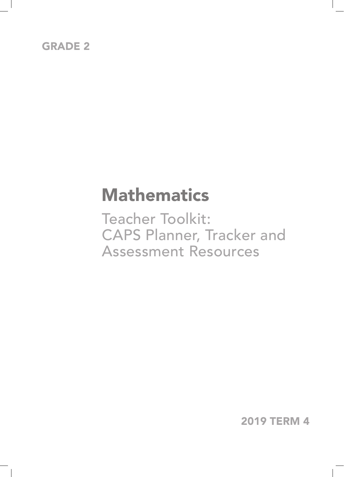## GRADE 2

## **Mathematics**

Teacher Toolkit: CAPS Planner, Tracker and Assessment Resources

2019 TERM 4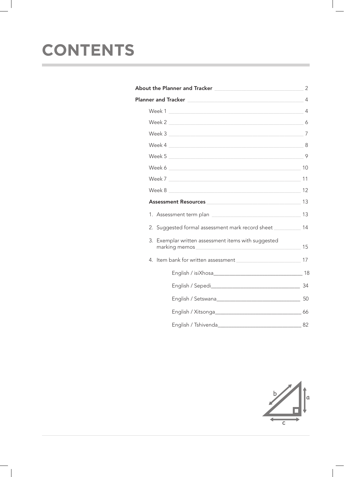# **CONTENTS**

| Week 2                                                         | 6  |
|----------------------------------------------------------------|----|
| Week 3 7                                                       |    |
|                                                                |    |
| Week 5                                                         |    |
|                                                                |    |
| Week 7 and 11                                                  |    |
| Week 8                                                         |    |
| Assessment Resources 13                                        |    |
|                                                                |    |
| 2. Suggested formal assessment mark record sheet __________ 14 |    |
| 3. Exemplar written assessment items with suggested            | 15 |
|                                                                |    |
|                                                                |    |
|                                                                |    |
|                                                                |    |
|                                                                |    |
|                                                                |    |

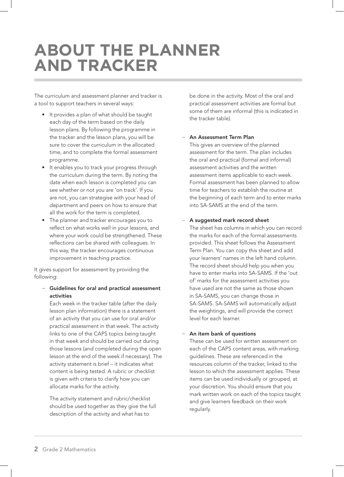## **ABOUT THE PLANNER AND TRACKER**

The curriculum and assessment planner and tracker is a tool to support teachers in several ways:

- It provides a plan of what should be taught each day of the term based on the daily lesson plans. By following the programme in the tracker and the lesson plans, you will be sure to cover the curriculum in the allocated time, and to complete the formal assessment programme.
- It enables you to track your progress through the curriculum during the term. By noting the date when each lesson is completed you can see whether or not you are 'on track'. If you are not, you can strategise with your head of department and peers on how to ensure that all the work for the term is completed.
- The planner and tracker encourages you to reflect on what works well in your lessons, and where your work could be strengthened. These reflections can be shared with colleagues. In this way, the tracker encourages continuous improvement in teaching practice.

It gives support for assessment by providing the following:

#### − Guidelines for oral and practical assessment activities

Each week in the tracker table (after the daily lesson plan information) there is a statement of an activity that you can use for oral and/or practical assessment in that week. The activity links to one of the CAPS topics being taught in that week and should be carried out during those lessons (and completed during the open lesson at the end of the week if necessary). The activity statement is brief – it indicates what content is being tested. A rubric or checklist is given with criteria to clarify how you can allocate marks for the activity.

The activity statement and rubric/checklist should be used together as they give the full description of the activity and what has to

be done in the activity. Most of the oral and practical assessment activities are formal but some of them are informal (this is indicated in the tracker table).

#### − An Assessment Term Plan

This gives an overview of the planned assessment for the term. The plan includes the oral and practical (formal and informal) assessment activities and the written assessment items applicable to each week. Formal assessment has been planned to allow time for teachers to establish the routine at the beginning of each term and to enter marks into SA-SAMS at the end of the term.

#### − A suggested mark record sheet

The sheet has columns in which you can record the marks for each of the formal assessments provided. This sheet follows the Assessment Term Plan. You can copy this sheet and add your learners' names in the left hand column. The record sheet should help you when you have to enter marks into SA-SAMS. If the 'out of' marks for the assessment activities you have used are not the same as those shown in SA-SAMS, you can change those in SA-SAMS. SA-SAMS will automatically adjust the weightings, and will provide the correct level for each learner.

#### An item bank of questions

These can be used for written assessment on each of the CAPS content areas, with marking guidelines. These are referenced in the resources column of the tracker, linked to the lesson to which the assessment applies. These items can be used individually or grouped, at your discretion. You should ensure that you mark written work on each of the topics taught and give learners feedback on their work regularly.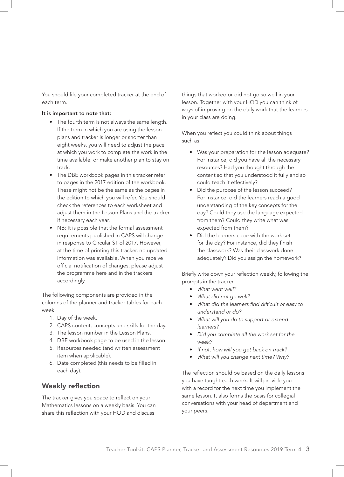You should file your completed tracker at the end of each term.

#### It is important to note that:

- The fourth term is not always the same length. If the term in which you are using the lesson plans and tracker is longer or shorter than eight weeks, you will need to adjust the pace at which you work to complete the work in the time available, or make another plan to stay on track.
- The DBE workbook pages in this tracker refer to pages in the 2017 edition of the workbook. These might not be the same as the pages in the edition to which you will refer. You should check the references to each worksheet and adjust them in the Lesson Plans and the tracker if necessary each year.
- NB: It is possible that the formal assessment requirements published in CAPS will change in response to Circular S1 of 2017. However, at the time of printing this tracker, no updated information was available. When you receive official notification of changes, please adjust the programme here and in the trackers accordingly.

The following components are provided in the columns of the planner and tracker tables for each week:

- 1. Day of the week.
- 2. CAPS content, concepts and skills for the day.
- 3. The lesson number in the Lesson Plans.
- 4. DBE workbook page to be used in the lesson.
- 5. Resources needed (and written assessment item when applicable).
- 6. Date completed (this needs to be filled in each day).

#### Weekly reflection

The tracker gives you space to reflect on your Mathematics lessons on a weekly basis. You can share this reflection with your HOD and discuss

things that worked or did not go so well in your lesson. Together with your HOD you can think of ways of improving on the daily work that the learners in your class are doing.

When you reflect you could think about things such as:

- Was your preparation for the lesson adequate? For instance, did you have all the necessary resources? Had you thought through the content so that you understood it fully and so could teach it effectively?
- Did the purpose of the lesson succeed? For instance, did the learners reach a good understanding of the key concepts for the day? Could they use the language expected from them? Could they write what was expected from them?
- Did the learners cope with the work set for the day? For instance, did they finish the classwork? Was their classwork done adequately? Did you assign the homework?

Briefly write down your reflection weekly, following the prompts in the tracker.

- *What went well?*
- *What did not go well?*
- *What did the learners find difficult or easy to understand or do?*
- *What will you do to support or extend learners?*
- *Did you complete all the work set for the week?*
- *If not, how will you get back on track?*
- *What will you change next time? Why?*

The reflection should be based on the daily lessons you have taught each week. It will provide you with a record for the next time you implement the same lesson. It also forms the basis for collegial conversations with your head of department and your peers.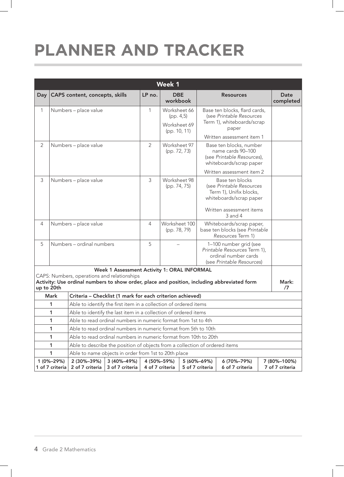# **PLANNER AND TRACKER**

|                | <b>Week 1</b>                 |                                                                             |                                |                 |                                                            |                                                                                 |                                                                                                                                    |  |                                 |  |  |  |
|----------------|-------------------------------|-----------------------------------------------------------------------------|--------------------------------|-----------------|------------------------------------------------------------|---------------------------------------------------------------------------------|------------------------------------------------------------------------------------------------------------------------------------|--|---------------------------------|--|--|--|
| Day            |                               | CAPS content, concepts, skills                                              |                                | LP no.          | <b>DBE</b><br>workbook                                     |                                                                                 | <b>Resources</b>                                                                                                                   |  | <b>Date</b><br>completed        |  |  |  |
| $\mathbf{1}$   |                               | Numbers - place value                                                       |                                | 1               | Worksheet 66<br>(pp. 4, 5)<br>Worksheet 69<br>(pp. 10, 11) |                                                                                 | Base ten blocks, flard cards,<br>(see Printable Resources<br>Term 1), whiteboards/scrap<br>paper<br>Written assessment item 1      |  |                                 |  |  |  |
| $\overline{2}$ |                               | Numbers - place value                                                       |                                | $\overline{2}$  | Worksheet 97<br>(pp. 72, 73)                               |                                                                                 | Base ten blocks, number<br>name cards 90-100<br>(see Printable Resources),<br>whiteboards/scrap paper<br>Written assessment item 2 |  |                                 |  |  |  |
| 3              |                               | Numbers - place value                                                       |                                |                 | Worksheet 98<br>(pp. 74, 75)                               |                                                                                 | Base ten blocks<br>(see Printable Resources<br>Term 1), Unifix blocks,<br>whiteboards/scrap paper<br>Written assessment items      |  |                                 |  |  |  |
|                |                               |                                                                             |                                |                 |                                                            |                                                                                 | 3 and 4                                                                                                                            |  |                                 |  |  |  |
| $\overline{4}$ |                               | Numbers - place value                                                       |                                | 4               | Worksheet 100<br>(pp. 78, 79)                              | Whiteboards/scrap paper,<br>base ten blocks (see Printable<br>Resources Term 1) |                                                                                                                                    |  |                                 |  |  |  |
| 5              |                               | Numbers - ordinal numbers                                                   |                                | 5               |                                                            |                                                                                 | 1-100 number grid (see<br>Printable Resources Term 1),<br>ordinal number cards<br>(see Printable Resources)                        |  |                                 |  |  |  |
|                |                               |                                                                             |                                |                 | Week 1 Assessment Activity 1: ORAL INFORMAL                |                                                                                 |                                                                                                                                    |  |                                 |  |  |  |
| up to 20th     |                               | CAPS: Numbers, operations and relationships                                 |                                |                 |                                                            |                                                                                 | Activity: Use ordinal numbers to show order, place and position, including abbreviated form                                        |  | Mark:<br>/7                     |  |  |  |
|                | Mark                          | Criteria - Checklist (1 mark for each criterion achieved)                   |                                |                 |                                                            |                                                                                 |                                                                                                                                    |  |                                 |  |  |  |
|                | 1                             | Able to identify the first item in a collection of ordered items            |                                |                 |                                                            |                                                                                 |                                                                                                                                    |  |                                 |  |  |  |
|                | 1                             | Able to identify the last item in a collection of ordered items             |                                |                 |                                                            |                                                                                 |                                                                                                                                    |  |                                 |  |  |  |
|                | 1                             | Able to read ordinal numbers in numeric format from 1st to 4th              |                                |                 |                                                            |                                                                                 |                                                                                                                                    |  |                                 |  |  |  |
|                | 1                             | Able to read ordinal numbers in numeric format from 5th to 10th             |                                |                 |                                                            |                                                                                 |                                                                                                                                    |  |                                 |  |  |  |
|                | 1                             | Able to read ordinal numbers in numeric format from 10th to 20th            |                                |                 |                                                            |                                                                                 |                                                                                                                                    |  |                                 |  |  |  |
|                | 1                             | Able to describe the position of objects from a collection of ordered items |                                |                 |                                                            |                                                                                 |                                                                                                                                    |  |                                 |  |  |  |
|                | 1                             | Able to name objects in order from 1st to 20th place                        |                                |                 |                                                            |                                                                                 |                                                                                                                                    |  |                                 |  |  |  |
|                | 1 (0%-29%)<br>1 of 7 criteria | 2 (30%-39%)<br>2 of 7 criteria                                              | 3 (40%-49%)<br>3 of 7 criteria | 4 of 7 criteria | 4 (50%-59%)                                                | 5 (60%-69%)<br>5 of 7 criteria                                                  | 6 (70%-79%)<br>6 of 7 criteria                                                                                                     |  | 7 (80%-100%)<br>7 of 7 criteria |  |  |  |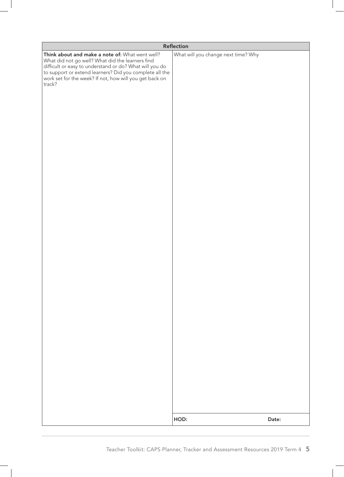|                                                                                                                                                                                                                                                                                                | Reflection                          |       |  |  |  |  |  |  |
|------------------------------------------------------------------------------------------------------------------------------------------------------------------------------------------------------------------------------------------------------------------------------------------------|-------------------------------------|-------|--|--|--|--|--|--|
| Think about and make a note of: What went well?<br>What did not go well? What did the learners find<br>difficult or easy to understand or do? What will you do<br>to support or extend learners? Did you complete all the<br>work set for the week? If not, how will you get back on<br>track? | What will you change next time? Why |       |  |  |  |  |  |  |
|                                                                                                                                                                                                                                                                                                | HOD:                                | Date: |  |  |  |  |  |  |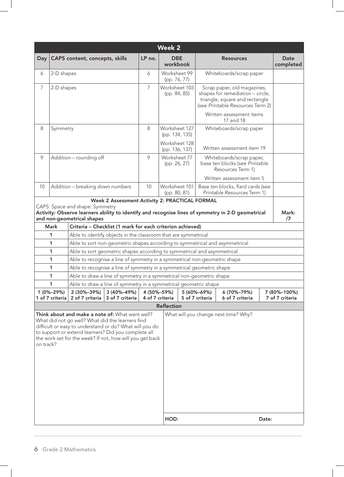| <b>Day</b>                                                                                                                                                                                                                                                                                                                             |                 | CAPS content, concepts, skills                                |                 | LP no.          | <b>DBE</b><br>workbook                                                      |                                                                                                                                          | <b>Resources</b>                                                                                                                      |       | Date<br>completed |  |  |  |
|----------------------------------------------------------------------------------------------------------------------------------------------------------------------------------------------------------------------------------------------------------------------------------------------------------------------------------------|-----------------|---------------------------------------------------------------|-----------------|-----------------|-----------------------------------------------------------------------------|------------------------------------------------------------------------------------------------------------------------------------------|---------------------------------------------------------------------------------------------------------------------------------------|-------|-------------------|--|--|--|
| 6                                                                                                                                                                                                                                                                                                                                      | 2-D shapes      |                                                               |                 | 6               | Worksheet 99<br>(pp. 76, 77)                                                |                                                                                                                                          | Whiteboards/scrap paper                                                                                                               |       |                   |  |  |  |
| $\overline{7}$                                                                                                                                                                                                                                                                                                                         | 2-D shapes      |                                                               |                 | $\overline{7}$  | Worksheet 103<br>(pp. 84, 85)                                               |                                                                                                                                          | Scrap paper, old magazines,<br>shapes for remediation - circle,<br>triangle, square and rectangle<br>(see Printable Resources Term 2) |       |                   |  |  |  |
|                                                                                                                                                                                                                                                                                                                                        |                 |                                                               |                 |                 |                                                                             |                                                                                                                                          | Written assessment items<br>17 and 18                                                                                                 |       |                   |  |  |  |
| 8                                                                                                                                                                                                                                                                                                                                      | Symmetry        |                                                               |                 | 8               | Worksheet 127<br>(pp. 134, 135)                                             |                                                                                                                                          | Whiteboards/scrap paper                                                                                                               |       |                   |  |  |  |
|                                                                                                                                                                                                                                                                                                                                        |                 |                                                               |                 |                 | Worksheet 128<br>(pp. 136, 137)                                             |                                                                                                                                          | Written assessment item 19                                                                                                            |       |                   |  |  |  |
| 9                                                                                                                                                                                                                                                                                                                                      |                 | Addition - rounding off                                       |                 | 9               | Worksheet 77<br>(pp. 26, 27)                                                | Whiteboards/scrap paper,<br>base ten blocks (see Printable<br>Resources Term 1)                                                          |                                                                                                                                       |       |                   |  |  |  |
| 10                                                                                                                                                                                                                                                                                                                                     |                 | Addition - breaking down numbers                              |                 | 10              | Worksheet 101<br>(pp. 80, 81)                                               |                                                                                                                                          | Written assessment item 5<br>Base ten blocks, flard cards (see<br>Printable Resources Term 1)                                         |       |                   |  |  |  |
|                                                                                                                                                                                                                                                                                                                                        |                 |                                                               |                 |                 | Week 2 Assessment Activity 2: PRACTICAL FORMAL                              |                                                                                                                                          |                                                                                                                                       |       |                   |  |  |  |
|                                                                                                                                                                                                                                                                                                                                        |                 | CAPS: Space and shape: Symmetry<br>and non-geometrical shapes |                 |                 |                                                                             |                                                                                                                                          | Activity: Observe learners ability to identify and recognise lines of symmetry in 2-D geometrical                                     |       | Mark:<br>/7       |  |  |  |
|                                                                                                                                                                                                                                                                                                                                        | <b>Mark</b>     |                                                               |                 |                 | Criteria - Checklist (1 mark for each criterion achieved)                   |                                                                                                                                          |                                                                                                                                       |       |                   |  |  |  |
| Able to identify objects in the classroom that are symmetrical<br>1                                                                                                                                                                                                                                                                    |                 |                                                               |                 |                 |                                                                             |                                                                                                                                          |                                                                                                                                       |       |                   |  |  |  |
|                                                                                                                                                                                                                                                                                                                                        | 1               |                                                               |                 |                 | Able to sort non-geometric shapes according to symmetrical and asymmetrical |                                                                                                                                          |                                                                                                                                       |       |                   |  |  |  |
|                                                                                                                                                                                                                                                                                                                                        | 1               |                                                               |                 |                 | Able to sort geometric shapes according to symmetrical and asymmetrical     |                                                                                                                                          |                                                                                                                                       |       |                   |  |  |  |
|                                                                                                                                                                                                                                                                                                                                        | 1               |                                                               |                 |                 | Able to recognise a line of symmetry in a symmetrical non-geometric shape   |                                                                                                                                          |                                                                                                                                       |       |                   |  |  |  |
|                                                                                                                                                                                                                                                                                                                                        | 1<br>1          |                                                               |                 |                 | Able to recognise a line of symmetry in a symmetrical geometric shape       |                                                                                                                                          |                                                                                                                                       |       |                   |  |  |  |
|                                                                                                                                                                                                                                                                                                                                        | 1               |                                                               |                 |                 |                                                                             | Able to draw a line of symmetry in a symmetrical non-geometric shape<br>Able to draw a line of symmetry in a symmetrical geometric shape |                                                                                                                                       |       |                   |  |  |  |
|                                                                                                                                                                                                                                                                                                                                        | 1 (0%-29%)      | 2 (30%-39%)                                                   | 3 (40%-49%)     | 4 (50%-59%)     |                                                                             | 5 (60%-69%)                                                                                                                              | 6 (70%-79%)                                                                                                                           |       | 7 (80%-100%)      |  |  |  |
|                                                                                                                                                                                                                                                                                                                                        | 1 of 7 criteria | 2 of 7 criteria                                               | 3 of 7 criteria | 4 of 7 criteria |                                                                             | 5 of 7 criteria                                                                                                                          | 6 of 7 criteria                                                                                                                       |       | 7 of 7 criteria   |  |  |  |
|                                                                                                                                                                                                                                                                                                                                        |                 |                                                               |                 |                 | <b>Reflection</b>                                                           |                                                                                                                                          |                                                                                                                                       |       |                   |  |  |  |
| What will you change next time? Why?<br>Think about and make a note of: What went well?<br>What did not go well? What did the learners find<br>difficult or easy to understand or do? What will you do<br>to support or extend learners? Did you complete all<br>the work set for the week? If not, how will you get back<br>on track? |                 |                                                               |                 |                 |                                                                             |                                                                                                                                          |                                                                                                                                       |       |                   |  |  |  |
|                                                                                                                                                                                                                                                                                                                                        |                 |                                                               |                 |                 | HOD:                                                                        |                                                                                                                                          |                                                                                                                                       | Date: |                   |  |  |  |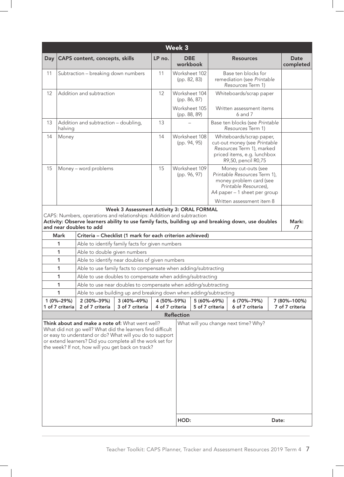|                                                                                                                                                                                                                                                                                                                                     | <b>Week 3</b>         |                                                                                                                             |                                           |        |                               |                                                                                                                                         |                                                                                                                                             |  |                          |  |  |
|-------------------------------------------------------------------------------------------------------------------------------------------------------------------------------------------------------------------------------------------------------------------------------------------------------------------------------------|-----------------------|-----------------------------------------------------------------------------------------------------------------------------|-------------------------------------------|--------|-------------------------------|-----------------------------------------------------------------------------------------------------------------------------------------|---------------------------------------------------------------------------------------------------------------------------------------------|--|--------------------------|--|--|
| Day                                                                                                                                                                                                                                                                                                                                 |                       | CAPS content, concepts, skills                                                                                              |                                           | LP no. | <b>DBE</b><br>workbook        |                                                                                                                                         | <b>Resources</b>                                                                                                                            |  | <b>Date</b><br>completed |  |  |
| 11                                                                                                                                                                                                                                                                                                                                  |                       | Subtraction - breaking down numbers                                                                                         |                                           | 11     | Worksheet 102<br>(pp. 82, 83) |                                                                                                                                         | Base ten blocks for<br>remediation (see Printable<br>Resources Term 1)                                                                      |  |                          |  |  |
| 12                                                                                                                                                                                                                                                                                                                                  |                       | Addition and subtraction                                                                                                    |                                           | 12     | Worksheet 104<br>(pp. 86, 87) |                                                                                                                                         | Whiteboards/scrap paper                                                                                                                     |  |                          |  |  |
|                                                                                                                                                                                                                                                                                                                                     |                       |                                                                                                                             |                                           |        | Worksheet 105<br>(pp. 88, 89) |                                                                                                                                         | Written assessment items<br>6 and 7                                                                                                         |  |                          |  |  |
| 13                                                                                                                                                                                                                                                                                                                                  | halving               | Addition and subtraction - doubling,                                                                                        |                                           | 13     |                               |                                                                                                                                         | Base ten blocks (see Printable<br>Resources Term 1)                                                                                         |  |                          |  |  |
| 14                                                                                                                                                                                                                                                                                                                                  | Money                 |                                                                                                                             |                                           | 14     | Worksheet 108<br>(pp. 94, 95) |                                                                                                                                         | Whiteboards/scrap paper,<br>cut-out money (see Printable<br>Resources Term 1), marked<br>priced items, e.g. lunchbox<br>R9,50, pencil R0,75 |  |                          |  |  |
| 15                                                                                                                                                                                                                                                                                                                                  | Money - word problems |                                                                                                                             |                                           |        | Worksheet 109<br>(pp. 96, 97) | Money cut-outs (see<br>Printable Resources Term 1),<br>money problem card (see<br>Printable Resources),<br>A4 paper - 1 sheet per group |                                                                                                                                             |  |                          |  |  |
|                                                                                                                                                                                                                                                                                                                                     |                       |                                                                                                                             |                                           |        |                               |                                                                                                                                         | Written assessment item 8                                                                                                                   |  |                          |  |  |
|                                                                                                                                                                                                                                                                                                                                     |                       | CAPS: Numbers, operations and relationships: Addition and subtraction<br>and near doubles to add                            | Week 3 Assessment Activity 3: ORAL FORMAL |        |                               |                                                                                                                                         | Activity: Observe learners ability to use family facts, building up and breaking down, use doubles                                          |  | Mark:<br>/7              |  |  |
|                                                                                                                                                                                                                                                                                                                                     | <b>Mark</b>           | Criteria - Checklist (1 mark for each criterion achieved)                                                                   |                                           |        |                               |                                                                                                                                         |                                                                                                                                             |  |                          |  |  |
|                                                                                                                                                                                                                                                                                                                                     | 1                     | Able to identify family facts for given numbers                                                                             |                                           |        |                               |                                                                                                                                         |                                                                                                                                             |  |                          |  |  |
|                                                                                                                                                                                                                                                                                                                                     | 1                     | Able to double given numbers                                                                                                |                                           |        |                               |                                                                                                                                         |                                                                                                                                             |  |                          |  |  |
|                                                                                                                                                                                                                                                                                                                                     | 1                     | Able to identify near doubles of given numbers                                                                              |                                           |        |                               |                                                                                                                                         |                                                                                                                                             |  |                          |  |  |
|                                                                                                                                                                                                                                                                                                                                     | 1                     | Able to use family facts to compensate when adding/subtracting                                                              |                                           |        |                               |                                                                                                                                         |                                                                                                                                             |  |                          |  |  |
|                                                                                                                                                                                                                                                                                                                                     | 1<br>1                | Able to use doubles to compensate when adding/subtracting<br>Able to use near doubles to compensate when adding/subtracting |                                           |        |                               |                                                                                                                                         |                                                                                                                                             |  |                          |  |  |
|                                                                                                                                                                                                                                                                                                                                     | 1                     | Able to use building up and breaking down when adding/subtracting                                                           |                                           |        |                               |                                                                                                                                         |                                                                                                                                             |  |                          |  |  |
|                                                                                                                                                                                                                                                                                                                                     | 1 (0%-29%)            | 2 (30%-39%)                                                                                                                 | 3 (40%-49%)                               |        | 4 (50%-59%)                   | 5 (60%-69%)                                                                                                                             | 6 (70%-79%)                                                                                                                                 |  | 7 (80%-100%)             |  |  |
|                                                                                                                                                                                                                                                                                                                                     | 1 of 7 criteria       | 2 of 7 criteria                                                                                                             | 3 of 7 criteria                           |        | 4 of 7 criteria               | 5 of 7 criteria                                                                                                                         | 6 of 7 criteria                                                                                                                             |  | 7 of 7 criteria          |  |  |
|                                                                                                                                                                                                                                                                                                                                     |                       |                                                                                                                             |                                           |        | <b>Reflection</b>             |                                                                                                                                         |                                                                                                                                             |  |                          |  |  |
| Think about and make a note of: What went well?<br>What will you change next time? Why?<br>What did not go well? What did the learners find difficult<br>or easy to understand or do? What will you do to support<br>or extend learners? Did you complete all the work set for<br>the week? If not, how will you get back on track? |                       |                                                                                                                             |                                           |        |                               |                                                                                                                                         |                                                                                                                                             |  |                          |  |  |
|                                                                                                                                                                                                                                                                                                                                     |                       |                                                                                                                             |                                           |        | HOD:<br>Date:                 |                                                                                                                                         |                                                                                                                                             |  |                          |  |  |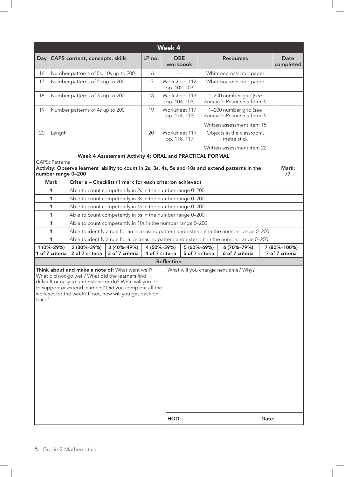| Week 4 |                               |                                                                                                                                                                                                                                                                                      |                                                         |        |                                 |                                |                                                                                                   |       |                                 |  |  |
|--------|-------------------------------|--------------------------------------------------------------------------------------------------------------------------------------------------------------------------------------------------------------------------------------------------------------------------------------|---------------------------------------------------------|--------|---------------------------------|--------------------------------|---------------------------------------------------------------------------------------------------|-------|---------------------------------|--|--|
| Day    |                               | CAPS content, concepts, skills                                                                                                                                                                                                                                                       |                                                         | LP no. | <b>DBE</b><br>workbook          |                                | <b>Resources</b>                                                                                  |       | <b>Date</b><br>completed        |  |  |
| 16     |                               | Number patterns of 5s, 10s up to 200                                                                                                                                                                                                                                                 |                                                         | 16     |                                 |                                | Whiteboards/scrap paper                                                                           |       |                                 |  |  |
| 17     |                               | Number patterns of 2s up to 200                                                                                                                                                                                                                                                      |                                                         | 17     | Worksheet 112<br>(pp. 102, 103) |                                | Whiteboards/scrap paper                                                                           |       |                                 |  |  |
| 18     |                               | Number patterns of 3s up to 200                                                                                                                                                                                                                                                      |                                                         | 18     | Worksheet 113<br>(pp. 104, 105) |                                | 1-200 number grid (see<br>Printable Resources Term 3)                                             |       |                                 |  |  |
| 19     |                               | Number patterns of 4s up to 200                                                                                                                                                                                                                                                      |                                                         | 19     | Worksheet 117<br>(pp. 114, 115) |                                | 1-200 number grid (see<br>Printable Resources Term 3)                                             |       |                                 |  |  |
|        |                               |                                                                                                                                                                                                                                                                                      |                                                         |        |                                 |                                | Written assessment item 15                                                                        |       |                                 |  |  |
| 20     | Length                        |                                                                                                                                                                                                                                                                                      |                                                         | 20     | Worksheet 119<br>(pp. 118, 119) |                                | Objects in the classroom,<br>metre stick                                                          |       |                                 |  |  |
|        |                               |                                                                                                                                                                                                                                                                                      |                                                         |        |                                 |                                | Written assessment item 22                                                                        |       |                                 |  |  |
|        |                               |                                                                                                                                                                                                                                                                                      | Week 4 Assessment Activity 4: ORAL and PRACTICAL FORMAL |        |                                 |                                |                                                                                                   |       |                                 |  |  |
|        | <b>CAPS: Patterns</b>         |                                                                                                                                                                                                                                                                                      |                                                         |        |                                 |                                | Activity: Observe learners' ability to count in 2s, 3s, 4s, 5s and 10s and extend patterns in the |       | Mark:                           |  |  |
|        | number range 0-200            |                                                                                                                                                                                                                                                                                      |                                                         |        |                                 |                                |                                                                                                   |       | $\sqrt{7}$                      |  |  |
|        | <b>Mark</b>                   | Criteria - Checklist (1 mark for each criterion achieved)                                                                                                                                                                                                                            |                                                         |        |                                 |                                |                                                                                                   |       |                                 |  |  |
|        | 1                             | Able to count competently in 2s in the number range 0-200                                                                                                                                                                                                                            |                                                         |        |                                 |                                |                                                                                                   |       |                                 |  |  |
|        | $\mathbf{1}$                  | Able to count competently in 3s in the number range 0-200                                                                                                                                                                                                                            |                                                         |        |                                 |                                |                                                                                                   |       |                                 |  |  |
|        | $\mathbf{1}$                  | Able to count competently in 4s in the number range 0-200                                                                                                                                                                                                                            |                                                         |        |                                 |                                |                                                                                                   |       |                                 |  |  |
|        | 1                             | Able to count competently in 5s in the number range 0-200                                                                                                                                                                                                                            |                                                         |        |                                 |                                |                                                                                                   |       |                                 |  |  |
|        | $\mathbf{1}$                  | Able to count competently in 10s in the number range 0-200                                                                                                                                                                                                                           |                                                         |        |                                 |                                |                                                                                                   |       |                                 |  |  |
|        | 1                             |                                                                                                                                                                                                                                                                                      |                                                         |        |                                 |                                | Able to identify a rule for an increasing pattern and extend it in the number range 0-200         |       |                                 |  |  |
|        | 1                             |                                                                                                                                                                                                                                                                                      |                                                         |        |                                 |                                | Able to identify a rule for a decreasing pattern and extend it in the number range 0–200          |       |                                 |  |  |
|        | 1 (0%-29%)<br>1 of 7 criteria | 2 (30%-39%)<br>2 of 7 criteria                                                                                                                                                                                                                                                       | 3 (40%-49%)<br>3 of 7 criteria                          |        | 4 (50%-59%)<br>4 of 7 criteria  | 5 (60%-69%)<br>5 of 7 criteria | 6 (70%-79%)<br>6 of 7 criteria                                                                    |       | 7 (80%-100%)<br>7 of 7 criteria |  |  |
|        |                               |                                                                                                                                                                                                                                                                                      |                                                         |        |                                 |                                |                                                                                                   |       |                                 |  |  |
| track? |                               | Think about and make a note of: What went well?<br>What did not go well? What did the learners find<br>difficult or easy to understand or do? What will you do<br>to support or extend learners? Did you complete all the<br>work set for the week? If not, how will you get back on |                                                         |        | <b>Reflection</b>               |                                | What will you change next time? Why?                                                              |       |                                 |  |  |
|        |                               |                                                                                                                                                                                                                                                                                      |                                                         |        | HOD:                            |                                |                                                                                                   | Date: |                                 |  |  |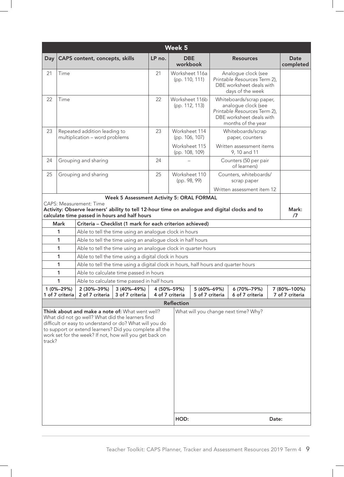|                                                                                                                                                                                                                                                                                                                                        | <b>Week 5</b>                                                                                                                                                                     |                                                                                    |                                           |        |                                  |                                |                                          |                                                                                                                                   |             |                          |  |
|----------------------------------------------------------------------------------------------------------------------------------------------------------------------------------------------------------------------------------------------------------------------------------------------------------------------------------------|-----------------------------------------------------------------------------------------------------------------------------------------------------------------------------------|------------------------------------------------------------------------------------|-------------------------------------------|--------|----------------------------------|--------------------------------|------------------------------------------|-----------------------------------------------------------------------------------------------------------------------------------|-------------|--------------------------|--|
| Day                                                                                                                                                                                                                                                                                                                                    |                                                                                                                                                                                   | <b>CAPS</b> content, concepts, skills                                              |                                           | LP no. | <b>DBE</b><br>workbook           |                                |                                          | <b>Resources</b>                                                                                                                  |             | <b>Date</b><br>completed |  |
| 21                                                                                                                                                                                                                                                                                                                                     | Time                                                                                                                                                                              |                                                                                    |                                           | 21     | Worksheet 116a<br>(pp. 110, 111) |                                |                                          | Analogue clock (see<br>Printable Resources Term 2),<br>DBE worksheet deals with<br>days of the week                               |             |                          |  |
| 22                                                                                                                                                                                                                                                                                                                                     | Time                                                                                                                                                                              |                                                                                    |                                           | 22     | Worksheet 116b<br>(pp. 112, 113) |                                |                                          | Whiteboards/scrap paper,<br>analogue clock (see<br>Printable Resources Term 2),<br>DBE worksheet deals with<br>months of the year |             |                          |  |
| 23                                                                                                                                                                                                                                                                                                                                     |                                                                                                                                                                                   | Repeated addition leading to<br>multiplication - word problems                     |                                           | 23     | Worksheet 114<br>(pp. 106, 107)  |                                |                                          | Whiteboards/scrap<br>paper, counters                                                                                              |             |                          |  |
|                                                                                                                                                                                                                                                                                                                                        |                                                                                                                                                                                   |                                                                                    |                                           |        | Worksheet 115<br>(pp. 108, 109)  |                                | Written assessment items<br>9, 10 and 11 |                                                                                                                                   |             |                          |  |
| 24                                                                                                                                                                                                                                                                                                                                     | Grouping and sharing                                                                                                                                                              |                                                                                    |                                           | 24     |                                  |                                |                                          | Counters (50 per pair<br>of learners)                                                                                             |             |                          |  |
| 25                                                                                                                                                                                                                                                                                                                                     |                                                                                                                                                                                   | Grouping and sharing                                                               |                                           | 25     | Worksheet 110<br>(pp. 98, 99)    |                                |                                          | Counters, whiteboards/<br>scrap paper                                                                                             |             |                          |  |
|                                                                                                                                                                                                                                                                                                                                        |                                                                                                                                                                                   |                                                                                    |                                           |        |                                  |                                |                                          | Written assessment item 12                                                                                                        |             |                          |  |
|                                                                                                                                                                                                                                                                                                                                        |                                                                                                                                                                                   |                                                                                    | Week 5 Assessment Activity 5: ORAL FORMAL |        |                                  |                                |                                          |                                                                                                                                   |             |                          |  |
|                                                                                                                                                                                                                                                                                                                                        | <b>CAPS: Measurement: Time</b><br>Activity: Observe learners' ability to tell 12-hour time on analogue and digital clocks and to<br>calculate time passed in hours and half hours |                                                                                    |                                           |        |                                  |                                |                                          |                                                                                                                                   | Mark:<br>/7 |                          |  |
|                                                                                                                                                                                                                                                                                                                                        | <b>Mark</b><br>Criteria - Checklist (1 mark for each criterion achieved)                                                                                                          |                                                                                    |                                           |        |                                  |                                |                                          |                                                                                                                                   |             |                          |  |
|                                                                                                                                                                                                                                                                                                                                        | 1<br>Able to tell the time using an analogue clock in hours                                                                                                                       |                                                                                    |                                           |        |                                  |                                |                                          |                                                                                                                                   |             |                          |  |
|                                                                                                                                                                                                                                                                                                                                        | 1                                                                                                                                                                                 | Able to tell the time using an analogue clock in half hours                        |                                           |        |                                  |                                |                                          |                                                                                                                                   |             |                          |  |
|                                                                                                                                                                                                                                                                                                                                        | 1                                                                                                                                                                                 | Able to tell the time using an analogue clock in quarter hours                     |                                           |        |                                  |                                |                                          |                                                                                                                                   |             |                          |  |
|                                                                                                                                                                                                                                                                                                                                        | 1                                                                                                                                                                                 | Able to tell the time using a digital clock in hours                               |                                           |        |                                  |                                |                                          |                                                                                                                                   |             |                          |  |
|                                                                                                                                                                                                                                                                                                                                        | 1                                                                                                                                                                                 | Able to tell the time using a digital clock in hours, half hours and quarter hours |                                           |        |                                  |                                |                                          |                                                                                                                                   |             |                          |  |
|                                                                                                                                                                                                                                                                                                                                        | 1                                                                                                                                                                                 | Able to calculate time passed in hours                                             |                                           |        |                                  |                                |                                          |                                                                                                                                   |             |                          |  |
|                                                                                                                                                                                                                                                                                                                                        | 1<br>1 (0%-29%)                                                                                                                                                                   | Able to calculate time passed in half hours<br>2 (30%-39%)                         | 3 (40%-49%)                               |        | 4 (50%-59%)                      |                                |                                          |                                                                                                                                   |             | 7 (80%-100%)             |  |
|                                                                                                                                                                                                                                                                                                                                        | 1 of 7 criteria                                                                                                                                                                   | 2 of 7 criteria                                                                    | 3 of 7 criteria                           |        | 4 of 7 criteria                  | 5 (60%-69%)<br>5 of 7 criteria |                                          | 6 (70%-79%)<br>6 of 7 criteria                                                                                                    |             | 7 of 7 criteria          |  |
|                                                                                                                                                                                                                                                                                                                                        |                                                                                                                                                                                   |                                                                                    |                                           |        | <b>Reflection</b>                |                                |                                          |                                                                                                                                   |             |                          |  |
| Think about and make a note of: What went well?<br>What will you change next time? Why?<br>What did not go well? What did the learners find<br>difficult or easy to understand or do? What will you do<br>to support or extend learners? Did you complete all the<br>work set for the week? If not, how will you get back on<br>track? |                                                                                                                                                                                   |                                                                                    |                                           |        |                                  |                                |                                          |                                                                                                                                   |             |                          |  |
|                                                                                                                                                                                                                                                                                                                                        |                                                                                                                                                                                   |                                                                                    |                                           |        | HOD:<br>Date:                    |                                |                                          |                                                                                                                                   |             |                          |  |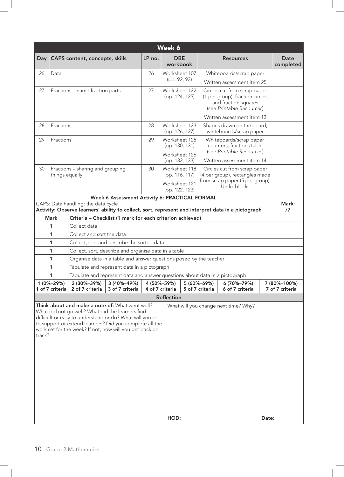|                                                                                                                                                                                                                                                                                                |                                                                                                                                           |                                                                             |                                       |        | Week 6                                                             |                                                  |                                |                                                                                                                      |             |                                 |
|------------------------------------------------------------------------------------------------------------------------------------------------------------------------------------------------------------------------------------------------------------------------------------------------|-------------------------------------------------------------------------------------------------------------------------------------------|-----------------------------------------------------------------------------|---------------------------------------|--------|--------------------------------------------------------------------|--------------------------------------------------|--------------------------------|----------------------------------------------------------------------------------------------------------------------|-------------|---------------------------------|
| Day                                                                                                                                                                                                                                                                                            |                                                                                                                                           | CAPS content, concepts, skills                                              |                                       | LP no. | <b>DBE</b><br>workbook                                             |                                                  |                                | <b>Resources</b>                                                                                                     |             | <b>Date</b><br>completed        |
| 26                                                                                                                                                                                                                                                                                             | Data                                                                                                                                      |                                                                             |                                       | 26     | Worksheet 107                                                      |                                                  |                                | Whiteboards/scrap paper                                                                                              |             |                                 |
|                                                                                                                                                                                                                                                                                                |                                                                                                                                           |                                                                             |                                       |        | (pp. 92, 93)                                                       |                                                  |                                | Written assessment item 25                                                                                           |             |                                 |
| 27                                                                                                                                                                                                                                                                                             |                                                                                                                                           | Fractions - name fraction parts                                             |                                       | 27     | Worksheet 122<br>(pp. 124, 125)                                    |                                                  |                                | Circles cut from scrap paper<br>(1 per group), fraction circles<br>and fraction squares<br>(see Printable Resources) |             |                                 |
|                                                                                                                                                                                                                                                                                                |                                                                                                                                           |                                                                             |                                       |        |                                                                    |                                                  |                                | Written assessment item 13                                                                                           |             |                                 |
| 28                                                                                                                                                                                                                                                                                             | Fractions                                                                                                                                 |                                                                             |                                       | 28     |                                                                    | Worksheet 123<br>(pp. 126, 127)                  |                                | Shapes drawn on the board,<br>whiteboards/scrap paper                                                                |             |                                 |
| 29                                                                                                                                                                                                                                                                                             | Fractions                                                                                                                                 |                                                                             |                                       | 29     |                                                                    | Worksheet 125<br>(pp. 130, 131)<br>Worksheet 126 |                                | Whiteboards/scrap paper,<br>counters, fractions table<br>(see Printable Resources)                                   |             |                                 |
|                                                                                                                                                                                                                                                                                                |                                                                                                                                           |                                                                             |                                       | 30     |                                                                    | (pp. 132, 133)                                   |                                | Written assessment item 14                                                                                           |             |                                 |
| 30                                                                                                                                                                                                                                                                                             | Fractions - sharing and grouping<br>things equally                                                                                        |                                                                             |                                       |        | Worksheet 118<br>(pp. 116, 117)<br>Worksheet 121<br>(pp. 122, 123) |                                                  |                                | Circles cut from scrap paper<br>(4 per group), rectangles made<br>from scrap paper (5 per group),<br>Unifix blocks   |             |                                 |
| Week 6 Assessment Activity 6: PRACTICAL FORMAL                                                                                                                                                                                                                                                 |                                                                                                                                           |                                                                             |                                       |        |                                                                    |                                                  |                                |                                                                                                                      |             |                                 |
|                                                                                                                                                                                                                                                                                                | CAPS: Data handling: the data cycle<br>Activity: Observe learners' ability to collect, sort, represent and interpret data in a pictograph |                                                                             |                                       |        |                                                                    |                                                  |                                |                                                                                                                      | Mark:<br>/7 |                                 |
|                                                                                                                                                                                                                                                                                                | <b>Mark</b><br>Criteria - Checklist (1 mark for each criterion achieved)                                                                  |                                                                             |                                       |        |                                                                    |                                                  |                                |                                                                                                                      |             |                                 |
|                                                                                                                                                                                                                                                                                                | Collect data<br>1                                                                                                                         |                                                                             |                                       |        |                                                                    |                                                  |                                |                                                                                                                      |             |                                 |
|                                                                                                                                                                                                                                                                                                | Collect and sort the data<br>1                                                                                                            |                                                                             |                                       |        |                                                                    |                                                  |                                |                                                                                                                      |             |                                 |
|                                                                                                                                                                                                                                                                                                | 1                                                                                                                                         | Collect, sort and describe the sorted data                                  |                                       |        |                                                                    |                                                  |                                |                                                                                                                      |             |                                 |
|                                                                                                                                                                                                                                                                                                | 1                                                                                                                                         | Collect, sort, describe and organise data in a table                        |                                       |        |                                                                    |                                                  |                                |                                                                                                                      |             |                                 |
|                                                                                                                                                                                                                                                                                                | 1                                                                                                                                         | Organise data in a table and answer questions posed by the teacher          |                                       |        |                                                                    |                                                  |                                |                                                                                                                      |             |                                 |
|                                                                                                                                                                                                                                                                                                | 1                                                                                                                                         | Tabulate and represent data in a pictograph                                 |                                       |        |                                                                    |                                                  |                                |                                                                                                                      |             |                                 |
|                                                                                                                                                                                                                                                                                                | 1                                                                                                                                         | Tabulate and represent data and answer questions about data in a pictograph |                                       |        |                                                                    |                                                  |                                |                                                                                                                      |             |                                 |
|                                                                                                                                                                                                                                                                                                | 1 (0%-29%)                                                                                                                                | 2 (30%-39%)<br>1 of 7 criteria 2 of 7 criteria                              | $ 3(40\% - 49\%) $<br>3 of 7 criteria |        | 4 (50%-59%)<br>4 of 7 criteria<br><b>Reflection</b>                |                                                  | 5 (60%-69%)<br>5 of 7 criteria | 6 (70%-79%)<br>6 of 7 criteria                                                                                       |             | 7 (80%-100%)<br>7 of 7 criteria |
| Think about and make a note of: What went well?<br>What did not go well? What did the learners find<br>difficult or easy to understand or do? What will you do<br>to support or extend learners? Did you complete all the<br>work set for the week? If not, how will you get back on<br>track? |                                                                                                                                           |                                                                             |                                       |        |                                                                    |                                                  |                                | What will you change next time? Why?                                                                                 |             |                                 |
|                                                                                                                                                                                                                                                                                                |                                                                                                                                           |                                                                             |                                       |        | HOD:                                                               |                                                  |                                |                                                                                                                      | Date:       |                                 |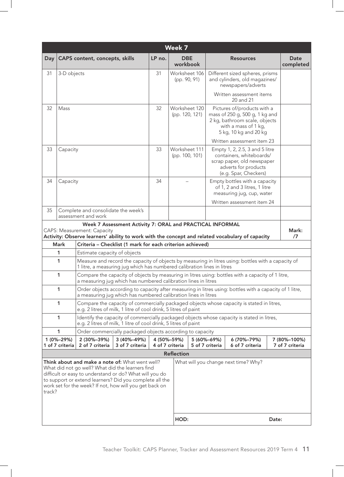|                                                                                                                                                                                                                                                                                                | Week 7                        |                                                                 |                                                           |        |                                                                                                                                                                                |                                      |                                                                                                                                                 |  |                                 |  |  |
|------------------------------------------------------------------------------------------------------------------------------------------------------------------------------------------------------------------------------------------------------------------------------------------------|-------------------------------|-----------------------------------------------------------------|-----------------------------------------------------------|--------|--------------------------------------------------------------------------------------------------------------------------------------------------------------------------------|--------------------------------------|-------------------------------------------------------------------------------------------------------------------------------------------------|--|---------------------------------|--|--|
| Day                                                                                                                                                                                                                                                                                            |                               | <b>CAPS</b> content, concepts, skills                           |                                                           | LP no. | <b>DBE</b><br>workbook                                                                                                                                                         |                                      | <b>Resources</b>                                                                                                                                |  | Date<br>completed               |  |  |
| 31                                                                                                                                                                                                                                                                                             | 3-D objects                   |                                                                 |                                                           | 31     | Worksheet 106<br>(pp. 90, 91)                                                                                                                                                  |                                      | Different sized spheres, prisms<br>and cylinders, old magazines/<br>newspapers/adverts                                                          |  |                                 |  |  |
|                                                                                                                                                                                                                                                                                                |                               |                                                                 |                                                           |        |                                                                                                                                                                                |                                      | Written assessment items<br>20 and 21                                                                                                           |  |                                 |  |  |
| 32                                                                                                                                                                                                                                                                                             | Mass                          |                                                                 |                                                           | 32     | Worksheet 120<br>(pp. 120, 121)                                                                                                                                                |                                      | Pictures of/products with a<br>mass of 250 g, 500 g, 1 kg and<br>2 kg, bathroom scale, objects<br>with a mass of 1 kg,<br>5 kg, 10 kg and 20 kg |  |                                 |  |  |
|                                                                                                                                                                                                                                                                                                |                               |                                                                 |                                                           |        |                                                                                                                                                                                |                                      | Written assessment item 23                                                                                                                      |  |                                 |  |  |
| 33                                                                                                                                                                                                                                                                                             | Capacity                      |                                                                 |                                                           | 33     | Worksheet 111<br>(pp. 100, 101)                                                                                                                                                |                                      | Empty 1, 2, 2.5, 3 and 5 litre<br>containers, whiteboards/<br>scrap paper, old newspaper<br>adverts for products<br>(e.g. Spar, Checkers)       |  |                                 |  |  |
| 34                                                                                                                                                                                                                                                                                             | Capacity                      |                                                                 |                                                           | 34     |                                                                                                                                                                                |                                      | Empty bottles with a capacity<br>of 1, 2 and 3 litres, 1 litre<br>measuring jug, cup, water                                                     |  |                                 |  |  |
|                                                                                                                                                                                                                                                                                                |                               |                                                                 |                                                           |        |                                                                                                                                                                                |                                      | Written assessment item 24                                                                                                                      |  |                                 |  |  |
| 35                                                                                                                                                                                                                                                                                             |                               | Complete and consolidate the week's<br>assessment and work      |                                                           |        |                                                                                                                                                                                |                                      |                                                                                                                                                 |  |                                 |  |  |
|                                                                                                                                                                                                                                                                                                |                               |                                                                 | Week 7 Assessment Activity 7: ORAL and PRACTICAL INFORMAL |        |                                                                                                                                                                                |                                      |                                                                                                                                                 |  |                                 |  |  |
|                                                                                                                                                                                                                                                                                                |                               | <b>CAPS: Measurement: Capacity</b>                              |                                                           |        |                                                                                                                                                                                |                                      | Activity: Observe learners' ability to work with the concept and related vocabulary of capacity                                                 |  | Mark:<br>$\sqrt{7}$             |  |  |
|                                                                                                                                                                                                                                                                                                | <b>Mark</b>                   | Criteria - Checklist (1 mark for each criterion achieved)       |                                                           |        |                                                                                                                                                                                |                                      |                                                                                                                                                 |  |                                 |  |  |
|                                                                                                                                                                                                                                                                                                | 1                             | Estimate capacity of objects                                    |                                                           |        |                                                                                                                                                                                |                                      |                                                                                                                                                 |  |                                 |  |  |
|                                                                                                                                                                                                                                                                                                | $\mathbf{1}$                  |                                                                 |                                                           |        | Measure and record the capacity of objects by measuring in litres using: bottles with a capacity of<br>1 litre, a measuring jug which has numbered calibration lines in litres |                                      |                                                                                                                                                 |  |                                 |  |  |
|                                                                                                                                                                                                                                                                                                | 1                             |                                                                 |                                                           |        | Compare the capacity of objects by measuring in litres using: bottles with a capacity of 1 litre,<br>a measuring jug which has numbered calibration lines in litres            |                                      |                                                                                                                                                 |  |                                 |  |  |
|                                                                                                                                                                                                                                                                                                | 1                             | a measuring jug which has numbered calibration lines in litres  |                                                           |        |                                                                                                                                                                                |                                      | Order objects according to capacity after measuring in litres using: bottles with a capacity of 1 litre,                                        |  |                                 |  |  |
|                                                                                                                                                                                                                                                                                                | $\mathbf{1}$                  | e.g. 2 litres of milk, 1 litre of cool drink, 5 litres of paint |                                                           |        |                                                                                                                                                                                |                                      | Compare the capacity of commercially packaged objects whose capacity is stated in litres,                                                       |  |                                 |  |  |
|                                                                                                                                                                                                                                                                                                | 1                             | e.g. 2 litres of milk, 1 litre of cool drink, 5 litres of paint |                                                           |        |                                                                                                                                                                                |                                      | Identify the capacity of commercially packaged objects whose capacity is stated in litres,                                                      |  |                                 |  |  |
|                                                                                                                                                                                                                                                                                                | 1                             | Order commercially packaged objects according to capacity       |                                                           |        |                                                                                                                                                                                |                                      |                                                                                                                                                 |  |                                 |  |  |
|                                                                                                                                                                                                                                                                                                | 1 (0%-29%)<br>1 of 7 criteria | 2 (30%-39%)<br>2 of 7 criteria                                  | 3 (40%-49%)<br>3 of 7 criteria                            |        | 4 (50%-59%)<br>4 of 7 criteria                                                                                                                                                 | 5 (60%-69%)<br>5 of 7 criteria       | 6 (70%-79%)<br>6 of 7 criteria                                                                                                                  |  | 7 (80%-100%)<br>7 of 7 criteria |  |  |
|                                                                                                                                                                                                                                                                                                |                               |                                                                 |                                                           |        | <b>Reflection</b>                                                                                                                                                              |                                      |                                                                                                                                                 |  |                                 |  |  |
| Think about and make a note of: What went well?<br>What did not go well? What did the learners find<br>difficult or easy to understand or do? What will you do<br>to support or extend learners? Did you complete all the<br>work set for the week? If not, how will you get back on<br>track? |                               |                                                                 |                                                           |        |                                                                                                                                                                                | What will you change next time? Why? |                                                                                                                                                 |  |                                 |  |  |
|                                                                                                                                                                                                                                                                                                |                               |                                                                 |                                                           |        | HOD:                                                                                                                                                                           | Date:                                |                                                                                                                                                 |  |                                 |  |  |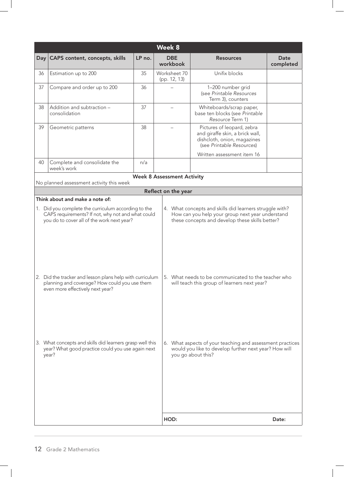|                                                                                                                                                                                                                                                                                                                                                                                                                                                                                                                                                                                                                                            |                                                                                                                        |                                   | Week 8                       |                                                                                                                                          |                          |  |  |
|--------------------------------------------------------------------------------------------------------------------------------------------------------------------------------------------------------------------------------------------------------------------------------------------------------------------------------------------------------------------------------------------------------------------------------------------------------------------------------------------------------------------------------------------------------------------------------------------------------------------------------------------|------------------------------------------------------------------------------------------------------------------------|-----------------------------------|------------------------------|------------------------------------------------------------------------------------------------------------------------------------------|--------------------------|--|--|
| $Day \vert$                                                                                                                                                                                                                                                                                                                                                                                                                                                                                                                                                                                                                                | CAPS content, concepts, skills                                                                                         | LP no.                            | <b>DBE</b><br>workbook       | <b>Resources</b>                                                                                                                         | <b>Date</b><br>completed |  |  |
| 36                                                                                                                                                                                                                                                                                                                                                                                                                                                                                                                                                                                                                                         | Estimation up to 200                                                                                                   | 35                                | Worksheet 70<br>(pp. 12, 13) | Unifix blocks                                                                                                                            |                          |  |  |
| 37                                                                                                                                                                                                                                                                                                                                                                                                                                                                                                                                                                                                                                         | Compare and order up to 200                                                                                            | 36                                |                              | 1-200 number grid<br>(see Printable Resources<br>Term 3), counters                                                                       |                          |  |  |
| 38                                                                                                                                                                                                                                                                                                                                                                                                                                                                                                                                                                                                                                         | Addition and subtraction -<br>consolidation                                                                            | 37                                |                              | Whiteboards/scrap paper,<br>base ten blocks (see Printable<br>Resource Term 1)                                                           |                          |  |  |
| 39                                                                                                                                                                                                                                                                                                                                                                                                                                                                                                                                                                                                                                         | Geometric patterns                                                                                                     | 38                                |                              | Pictures of leopard, zebra<br>and giraffe skin, a brick wall,<br>dishcloth, onion, magazines<br>(see Printable Resources)                |                          |  |  |
| 40                                                                                                                                                                                                                                                                                                                                                                                                                                                                                                                                                                                                                                         | Complete and consolidate the                                                                                           | n/a                               |                              | Written assessment item 16                                                                                                               |                          |  |  |
|                                                                                                                                                                                                                                                                                                                                                                                                                                                                                                                                                                                                                                            | week's work                                                                                                            |                                   |                              |                                                                                                                                          |                          |  |  |
|                                                                                                                                                                                                                                                                                                                                                                                                                                                                                                                                                                                                                                            | No planned assessment activity this week                                                                               | <b>Week 8 Assessment Activity</b> |                              |                                                                                                                                          |                          |  |  |
|                                                                                                                                                                                                                                                                                                                                                                                                                                                                                                                                                                                                                                            |                                                                                                                        |                                   |                              |                                                                                                                                          |                          |  |  |
| Reflect on the year<br>Think about and make a note of:<br>1. Did you complete the curriculum according to the<br>4. What concepts and skills did learners struggle with?<br>CAPS requirements? If not, why not and what could<br>How can you help your group next year understand<br>you do to cover all of the work next year?<br>these concepts and develop these skills better?<br>2. Did the tracker and lesson plans help with curriculum<br>5. What needs to be communicated to the teacher who<br>planning and coverage? How could you use them<br>will teach this group of learners next year?<br>even more effectively next year? |                                                                                                                        |                                   |                              |                                                                                                                                          |                          |  |  |
|                                                                                                                                                                                                                                                                                                                                                                                                                                                                                                                                                                                                                                            | 3. What concepts and skills did learners grasp well this<br>year? What good practice could you use again next<br>year? |                                   | HOD:                         | 6. What aspects of your teaching and assessment practices<br>would you like to develop further next year? How will<br>you go about this? | Date:                    |  |  |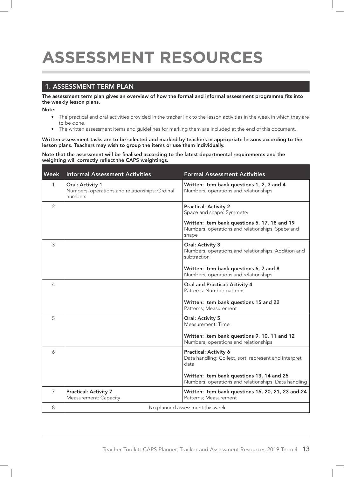## **ASSESSMENT RESOURCES**

#### 1. ASSESSMENT TERM PLAN

The assessment term plan gives an overview of how the formal and informal assessment programme fits into the weekly lesson plans.

Note:

- The practical and oral activities provided in the tracker link to the lesson activities in the week in which they are to be done.
- The written assessment items and guidelines for marking them are included at the end of this document.

Written assessment tasks are to be selected and marked by teachers in appropriate lessons according to the lesson plans. Teachers may wish to group the items or use them individually.

Note that the assessment will be finalised according to the latest departmental requirements and the weighting will correctly reflect the CAPS weightings.

| <b>Week</b>    | <b>Informal Assessment Activities</b>                                         | <b>Formal Assessment Activities</b>                                                                        |
|----------------|-------------------------------------------------------------------------------|------------------------------------------------------------------------------------------------------------|
| $\mathbf{1}$   | Oral: Activity 1<br>Numbers, operations and relationships: Ordinal<br>numbers | Written: Item bank questions 1, 2, 3 and 4<br>Numbers, operations and relationships                        |
| $\overline{2}$ |                                                                               | <b>Practical: Activity 2</b><br>Space and shape: Symmetry                                                  |
|                |                                                                               | Written: Item bank questions 5, 17, 18 and 19<br>Numbers, operations and relationships; Space and<br>shape |
| 3              |                                                                               | Oral: Activity 3<br>Numbers, operations and relationships: Addition and<br>subtraction                     |
|                |                                                                               | Written: Item bank questions 6, 7 and 8<br>Numbers, operations and relationships                           |
| 4              |                                                                               | <b>Oral and Practical: Activity 4</b><br>Patterns: Number patterns                                         |
|                |                                                                               | Written: Item bank questions 15 and 22<br>Patterns; Measurement                                            |
| 5              |                                                                               | Oral: Activity 5<br>Measurement: Time                                                                      |
|                |                                                                               | Written: Item bank questions 9, 10, 11 and 12<br>Numbers, operations and relationships                     |
| 6              |                                                                               | <b>Practical: Activity 6</b><br>Data handling: Collect, sort, represent and interpret<br>data              |
|                |                                                                               | Written: Item bank questions 13, 14 and 25<br>Numbers, operations and relationships; Data handling         |
| $\overline{7}$ | <b>Practical: Activity 7</b><br>Measurement: Capacity                         | Written: Item bank questions 16, 20, 21, 23 and 24<br>Patterns; Measurement                                |
| 8              |                                                                               | No planned assessment this week                                                                            |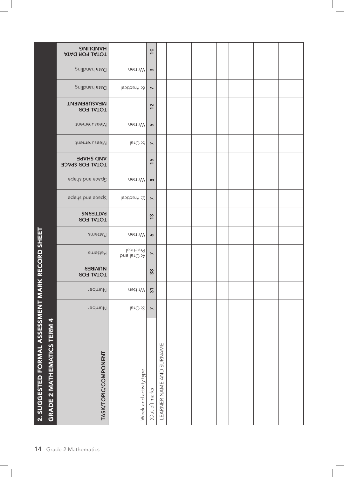|                                                  |                                   | <b>DNITIONAH</b><br><b>ATAG ROR DATA</b>   |                          | $\overline{10}$       |                          |  |  |  |  |  |  |
|--------------------------------------------------|-----------------------------------|--------------------------------------------|--------------------------|-----------------------|--------------------------|--|--|--|--|--|--|
|                                                  |                                   | Data handling                              | Mritten                  | $\boldsymbol{\omega}$ |                          |  |  |  |  |  |  |
|                                                  |                                   | Data handling                              | 6: Practical             | $\overline{ }$        |                          |  |  |  |  |  |  |
|                                                  |                                   | <b>MEASUREMENT</b><br><b>ROTAL FOR</b>     |                          | 12                    |                          |  |  |  |  |  |  |
|                                                  |                                   | Measurement                                | Mritten                  | 5                     |                          |  |  |  |  |  |  |
|                                                  |                                   | Measurement                                | $5:O$ ral                | $\overline{ }$        |                          |  |  |  |  |  |  |
|                                                  |                                   | <b>AND SHAPE</b><br><b>TOTAL FOR SPACE</b> |                          | $\frac{15}{2}$        |                          |  |  |  |  |  |  |
|                                                  |                                   | adeys pue apedg                            | Mritten                  | $\infty$              |                          |  |  |  |  |  |  |
|                                                  |                                   | adeys pue apedg                            | 2: Practical             | $\overline{ }$        |                          |  |  |  |  |  |  |
|                                                  |                                   | <b>PATTERNS</b><br><b>JOTAL FOR</b>        |                          | 13                    |                          |  |  |  |  |  |  |
|                                                  |                                   | Patterns                                   | Mritten                  | $\bullet$             |                          |  |  |  |  |  |  |
|                                                  |                                   | Patterns                                   | Practical<br>A: Oral and | $\triangleright$      |                          |  |  |  |  |  |  |
|                                                  |                                   | NOMBER<br><b>JOTAL FOR</b>                 |                          | 38                    |                          |  |  |  |  |  |  |
|                                                  |                                   | Number                                     | Written                  | $\overline{3}$        |                          |  |  |  |  |  |  |
|                                                  |                                   | Number                                     | $3:O$ ral                | $\triangleright$      |                          |  |  |  |  |  |  |
| 2. SUGGESTED FORMAL ASSESSMENT MARK RECORD SHEET | <b>GRADE 2 MATHEMATICS TERM 4</b> | TASK/TOPIC/COMPONENT                       | Week and activity type   | (Out of) marks        | LEARNER NAME AND SURNAME |  |  |  |  |  |  |
| 14                                               |                                   | Grade 2 Mathematics                        |                          |                       |                          |  |  |  |  |  |  |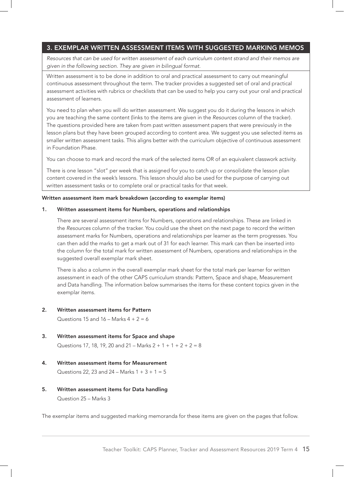#### 3. EXEMPLAR WRITTEN ASSESSMENT ITEMS WITH SUGGESTED MARKING MEMOS

*Resources that can be used for written assessment of each curriculum content strand and their memos are given in the following section. They are given in bilingual format.*

Written assessment is to be done in addition to oral and practical assessment to carry out meaningful continuous assessment throughout the term. The tracker provides a suggested set of oral and practical assessment activities with rubrics or checklists that can be used to help you carry out your oral and practical assessment of learners.

You need to plan when you will do written assessment. We suggest you do it during the lessons in which you are teaching the same content (links to the items are given in the *Resources* column of the tracker). The questions provided here are taken from past written assessment papers that were previously in the lesson plans but they have been grouped according to content area. We suggest you use selected items as smaller written assessment tasks. This aligns better with the curriculum objective of continuous assessment in Foundation Phase.

You can choose to mark and record the mark of the selected items OR of an equivalent classwork activity.

There is one lesson "slot" per week that is assigned for you to catch up or consolidate the lesson plan content covered in the week's lessons. This lesson should also be used for the purpose of carrying out written assessment tasks or to complete oral or practical tasks for that week.

#### Written assessment item mark breakdown (according to exemplar items)

#### 1. Written assessment items for Numbers, operations and relationships

There are several assessment items for Numbers, operations and relationships. These are linked in the *Resources* column of the tracker. You could use the sheet on the next page to record the written assessment marks for Numbers, operations and relationships per learner as the term progresses. You can then add the marks to get a mark out of 31 for each learner. This mark can then be inserted into the column for the total mark for written assessment of Numbers, operations and relationships in the suggested overall exemplar mark sheet.

There is also a column in the overall exemplar mark sheet for the total mark per learner for written assessment in each of the other CAPS curriculum strands: Pattern, Space and shape, Measurement and Data handling. The information below summarises the items for these content topics given in the exemplar items.

#### 2. Written assessment items for Pattern

Questions 15 and  $16 -$  Marks  $4 + 2 = 6$ 

#### 3. Written assessment items for Space and shape

Questions 17, 18, 19, 20 and 21 – Marks  $2 + 1 + 1 + 2 + 2 = 8$ 

- 4. Written assessment items for Measurement Questions 22, 23 and 24 – Marks  $1 + 3 + 1 = 5$
- 5. Written assessment items for Data handling Question 25 – Marks 3

The exemplar items and suggested marking memoranda for these items are given on the pages that follow.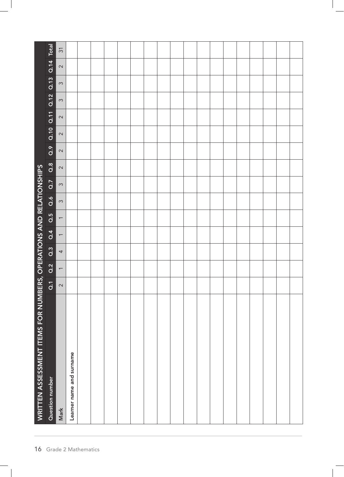|                                                                    |                                    | $\overline{31}$          |                          |                     |  |  |  |  |  |  |  |  |
|--------------------------------------------------------------------|------------------------------------|--------------------------|--------------------------|---------------------|--|--|--|--|--|--|--|--|
|                                                                    | Q.9 Q.10 Q.11 Q.12 Q.13 Q.14 Total | $\sim$                   |                          |                     |  |  |  |  |  |  |  |  |
|                                                                    |                                    | $\infty$                 |                          |                     |  |  |  |  |  |  |  |  |
|                                                                    |                                    | $\infty$                 |                          |                     |  |  |  |  |  |  |  |  |
|                                                                    |                                    | $\sim$                   |                          |                     |  |  |  |  |  |  |  |  |
|                                                                    |                                    | $\sim$                   |                          |                     |  |  |  |  |  |  |  |  |
|                                                                    |                                    | $\sim$                   |                          |                     |  |  |  |  |  |  |  |  |
|                                                                    | $\frac{8}{9}$                      | $\sim$                   |                          |                     |  |  |  |  |  |  |  |  |
|                                                                    | $\overline{a}$ .                   | $\infty$                 |                          |                     |  |  |  |  |  |  |  |  |
|                                                                    | Q.6                                | $\infty$                 |                          |                     |  |  |  |  |  |  |  |  |
|                                                                    | Q.5                                | $\leftarrow$             |                          |                     |  |  |  |  |  |  |  |  |
|                                                                    | 0.4                                | $\leftarrow$             |                          |                     |  |  |  |  |  |  |  |  |
|                                                                    | $\overline{a}$                     | $\overline{\mathcal{A}}$ |                          |                     |  |  |  |  |  |  |  |  |
|                                                                    | Q.2                                | $\leftarrow$             |                          |                     |  |  |  |  |  |  |  |  |
|                                                                    | $\overline{d}$                     | $\sim$                   |                          |                     |  |  |  |  |  |  |  |  |
| WRITTEN ASSESSMENT ITEMS FOR NUMBERS, OPERATIONS AND RELATIONSHIPS | Question number                    | Mark                     | Learner name and surname |                     |  |  |  |  |  |  |  |  |
| 16                                                                 |                                    |                          |                          | Grade 2 Mathematics |  |  |  |  |  |  |  |  |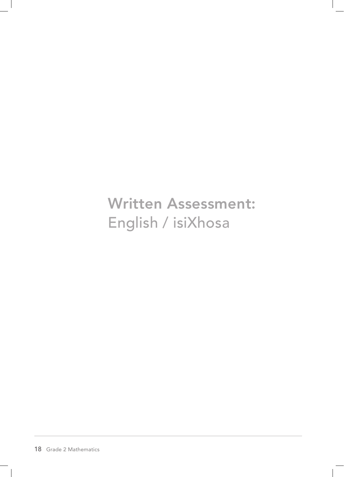Written Assessment: English / isiXhosa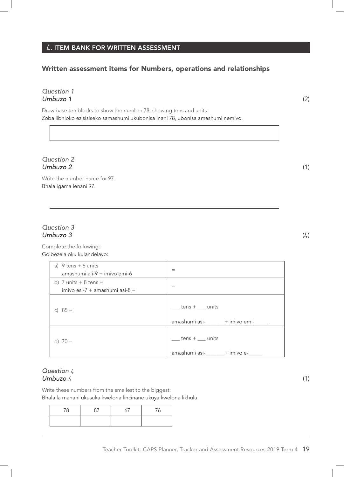#### **4**. ITEM BANK FOR WRITTEN ASSESSMENT

### Written assessment items for Numbers, operations and relationships

#### *Question 1 Umbuzo 1* (2)

Draw base ten blocks to show the number 78, showing tens and units. Zoba iibhloko ezisisiseko samashumi ukubonisa inani 78, ubonisa amashumi nemivo.

#### *Question 2 Umbuzo 2* (1)

Write the number name for 97. Bhala igama lenani 97.

#### *Question 3 Umbuzo 3* (4)

Complete the following: Gqibezela oku kulandelayo:

| a) $9$ tens $+6$ units<br>amashumi ali-9 + imivo emi-6 | $=$                                                                            |
|--------------------------------------------------------|--------------------------------------------------------------------------------|
| b) 7 units $+8$ tens $=$                               |                                                                                |
| imivo esi-7 + amashumi asi-8 =                         | $=$                                                                            |
| c) $85 =$                                              | $tens + \underline{\hspace{1cm}}$ units<br>amashumi asi-_______+ imivo emi-___ |
| d) $70 =$                                              | $tens +$ units<br>amashumi asi-______+ imivo e-___                             |

#### *Question* 4 *Umbuzo* 4 (1)

Write these numbers from the smallest to the biggest: Bhala la manani ukusuka kwelona lincinane ukuya kwelona likhulu.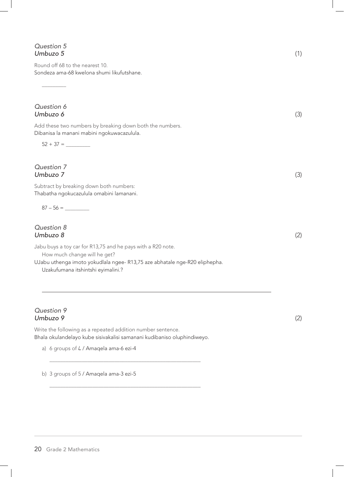#### *Question 5 Umbuzo 5* (1)

Round off 68 to the nearest 10. Sondeza ama-68 kwelona shumi likufutshane.

*Question 6 Umbuzo 6* (3)

 $\overline{\phantom{a}}$ 

Add these two numbers by breaking down both the numbers. Dibanisa la manani mabini ngokuwacazulula.

52 + 37 = \_\_\_\_\_\_\_\_\_

*Question 7 Umbuzo 7* (3)

Subtract by breaking down both numbers: Thabatha ngokucazulula omabini lamanani.

 $87 - 56 =$ 

#### *Question 8 Umbuzo 8* (2)

Jabu buys a toy car for R13,75 and he pays with a R20 note.

How much change will he get?

UJabu uthenga imoto yokudlala ngee- R13,75 aze abhatale nge-R20 eliphepha. Uzakufumana itshintshi eyimalini.?

#### *Question 9 Umbuzo 9* (2)

Write the following as a repeated addition number sentence. Bhala okulandelayo kube sisivakalisi samanani kudibaniso oluphindiweyo.

\_\_\_\_\_\_\_\_\_\_\_\_\_\_\_\_\_\_\_\_\_\_\_\_\_\_\_\_\_\_\_\_\_\_\_\_\_\_\_\_\_\_\_\_\_\_\_\_\_\_\_\_\_\_\_\_

\_\_\_\_\_\_\_\_\_\_\_\_\_\_\_\_\_\_\_\_\_\_\_\_\_\_\_\_\_\_\_\_\_\_\_\_\_\_\_\_\_\_\_\_\_\_\_\_\_\_\_\_\_\_\_\_

a) 6 groups of  $\text{4}$  / Amaqela ama-6 ezi-4

b) 3 groups of 5 / Amaqela ama-3 ezi-5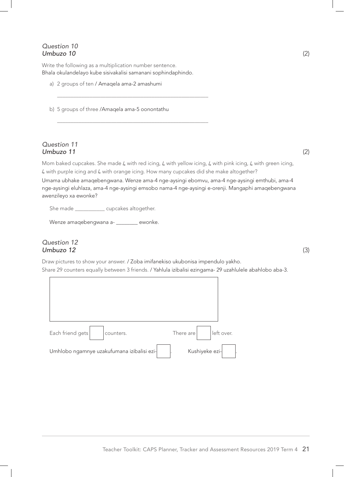#### *Question 10 Umbuzo 10* (2)

Write the following as a multiplication number sentence. Bhala okulandelayo kube sisivakalisi samanani sophindaphindo.

\_\_\_\_\_\_\_\_\_\_\_\_\_\_\_\_\_\_\_\_\_\_\_\_\_\_\_\_\_\_\_\_\_\_\_\_\_\_\_\_\_\_\_\_\_\_\_\_\_\_\_\_\_\_\_\_

\_\_\_\_\_\_\_\_\_\_\_\_\_\_\_\_\_\_\_\_\_\_\_\_\_\_\_\_\_\_\_\_\_\_\_\_\_\_\_\_\_\_\_\_\_\_\_\_\_\_\_\_\_\_\_\_

a) 2 groups of ten / Amaqela ama-2 amashumi

b) 5 groups of three /Amaqela ama-5 oonontathu

#### *Question 11 Umbuzo 11* (2)

Mom baked cupcakes. She made 4 with red icing, 4 with yellow icing, 4 with pink icing, 4 with green icing, 4 with purple icing and 4 with orange icing. How many cupcakes did she make altogether?

Umama ubhake amaqebengwana. Wenze ama-4 nge-aysingi ebomvu, ama-4 nge-aysingi emthubi, ama-4 nge-aysingi eluhlaza, ama-4 nge-aysingi emsobo nama-4 nge-aysingi e-orenji. Mangaphi amaqebengwana awenzileyo xa ewonke?

She made \_\_\_\_\_\_\_\_\_\_\_\_ cupcakes altogether.

Wenze amaqebengwana a- \_\_\_\_\_\_\_ ewonke.

#### *Question 12 Umbuzo 12* (3)

Draw pictures to show your answer. / Zoba imifanekiso ukubonisa impendulo yakho. Share 29 counters equally between 3 friends. / Yahlula izibalisi ezingama- 29 uzahlulele abahlobo aba-3.

| Each friend gets<br>counters.              | There are<br>left over. |
|--------------------------------------------|-------------------------|
| Umhlobo ngamnye uzakufumana izibalisi ezi- | Kushiyeke ezi-          |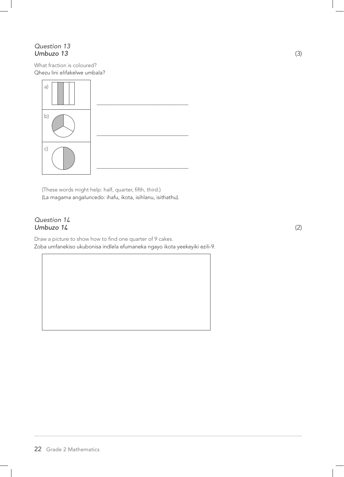#### *Question 13 Umbuzo 13* (3)

What fraction is coloured? Qhezu lini elifakelwe umbala?



(These words might help: half, quarter, fifth, third.) (La magama angaluncedo: ihafu, ikota, isihlanu, isithathu).

#### *Question 1***4** *Umbuzo 1***4** (2)

Draw a picture to show how to find one quarter of 9 cakes. Zoba umfanekiso ukubonisa indlela efumaneka ngayo ikota yeekeyiki ezili-9.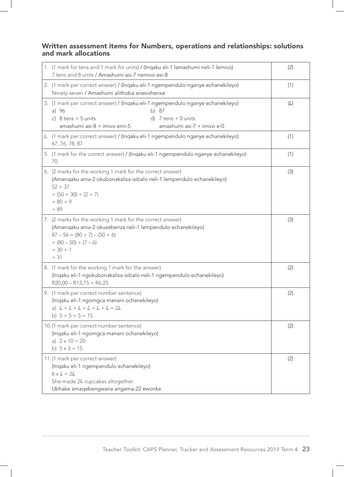#### Written assessment items for Numbers, operations and relationships: solutions and mark allocations

| 1. (1 mark for tens and 1 mark for units) / (Inqaku eli-1 lamashumi neli-1 lemivo)<br>7 tens and 8 units / Amashumi asi-7 nemivo esi-8                                                                              | (2) |
|---------------------------------------------------------------------------------------------------------------------------------------------------------------------------------------------------------------------|-----|
| 2. (1 mark per correct answer) / (Inqaku eli-1 ngempendulo nganye echanekileyo)<br>Ninety-seven / Amashumi alithoba anesixhenxe                                                                                     | (1) |
| 3. (1 mark per correct answer) / (Inqaku eli-1 ngempendulo nganye echanekileyo)<br>a) 96<br>b) 87<br>c) $8$ tens + 5 units<br>d) $7$ tens $+$ 0 units<br>amashumi asi-8 + imivo emi-5<br>amashumi asi-7 + imivo e-0 | (4) |
| 4. (1 mark per correct answer) / (Inqaku eli-1 ngempendulo nganye echanekileyo)<br>67, 76, 78, 87                                                                                                                   | (1) |
| 5. (1 mark for the correct answer) / (Inqaku eli-1 ngempendulo nganye echanekileyo)<br>70                                                                                                                           | (1) |
| 6. (2 marks for the working 1 mark for the correct answer)<br>(Amanqaku ama-2 okubonakalisa isibalo neli-1 lempendulo echanekileyo)<br>$52 + 37$<br>$= (50 + 30) + (2 + 7)$<br>$= 80 + 9$<br>$= 89$                 | (3) |
| 7. (2 marks for the working 1 mark for the correct answer)<br>(Amanqaku ama-2 okusebenza neli-1 lempendulo echanekileyo)<br>$87 - 56 = (80 + 7) - (50 + 6)$<br>$= (80 - 50) + (7 - 6)$<br>$= 30 + 1$<br>$= 31$      | (3) |
| 8. (1 mark for the working 1 mark for the answer)<br>(Inqaku eli-1 ngokubonakalisa isibalo neli-1 ngempendulo echanekileyo)<br>$R20,00 - R13,75 = R6,25$                                                            | (2) |
| 9. (1 mark per correct number sentence)<br>(Inqaku eli-1 ngomgca manani ochanekileyo)<br>a) $4 + 4 + 4 + 4 + 4 + 4 = 24$<br>b) $5 + 5 + 5 = 15$                                                                     | (2) |
| 10.(1 mark per correct number sentence)<br>(Inqaku eli-1 ngomgca manani ochanekileyo)<br>a) $2 \times 10 = 20$<br>b) $5 \times 3 = 15$                                                                              | (2) |
| 11.(1 mark per correct answer)<br>(Inqaku eli-1 ngempendulo echanekileyo)<br>$6 \times 4 = 24$<br>She made 24 cupcakes altogether.<br>Ubhake amaqebengwana angama-22 ewonke.                                        | (2) |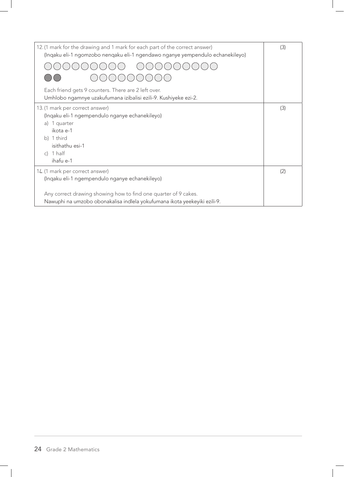| 12. (1 mark for the drawing and 1 mark for each part of the correct answer)<br>(Ingaku eli-1 ngomzobo nengaku eli-1 ngendawo nganye yempendulo echanekileyo) | (3) |
|--------------------------------------------------------------------------------------------------------------------------------------------------------------|-----|
|                                                                                                                                                              |     |
|                                                                                                                                                              |     |
| Each friend gets 9 counters. There are 2 left over.<br>Umhlobo ngamnye uzakufumana izibalisi ezili-9. Kushiyeke ezi-2.                                       |     |
| 13. (1 mark per correct answer)                                                                                                                              | (3) |
| (Ingaku eli-1 ngempendulo nganye echanekileyo)                                                                                                               |     |
| 1 quarter<br>a)                                                                                                                                              |     |
| ikota e-1<br>b) 1 third                                                                                                                                      |     |
| isithathu esi-1                                                                                                                                              |     |
| c) $1$ half                                                                                                                                                  |     |
| ihafu e-1                                                                                                                                                    |     |
| 14. (1 mark per correct answer)                                                                                                                              | (2) |
| (Ingaku eli-1 ngempendulo nganye echanekileyo)                                                                                                               |     |
| Any correct drawing showing how to find one quarter of 9 cakes.<br>Nawuphi na umzobo obonakalisa indlela yokufumana ikota yeekeyiki ezili-9.                 |     |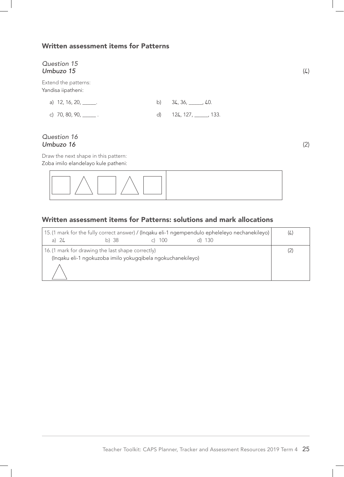#### Written assessment items for Patterns

### *Question 15 Umbuzo 15* (4) Extend the patterns: Yandisa iipatheni:

| a) 12, 16, 20, ______.         |                           |  |
|--------------------------------|---------------------------|--|
| c) 70, 80, 90, $\frac{1}{2}$ . | d) 124, 127, ______, 133. |  |

#### *Question 16 Umbuzo 16* (2)

Draw the next shape in this pattern: Zoba imilo elandelayo kule patheni:

| $T \wedge T \wedge T$ |  |  |
|-----------------------|--|--|
|                       |  |  |

#### Written assessment items for Patterns: solutions and mark allocations

| 15. (1 mark for the fully correct answer) / (Inqaku eli-1 ngempendulo epheleleyo nechanekileyo)<br>a) $24$ | b) 38 | - 100                                                       |  | (L) |
|------------------------------------------------------------------------------------------------------------|-------|-------------------------------------------------------------|--|-----|
| 16. (1 mark for drawing the last shape correctly)                                                          |       | (Ingaku eli-1 ngokuzoba imilo yokugqibela ngokuchanekileyo) |  |     |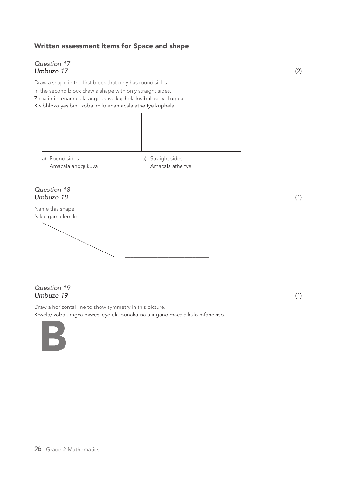### Written assessment items for Space and shape

#### *Question 17 Umbuzo 17* (2)

Draw a shape in the first block that only has round sides. In the second block draw a shape with only straight sides. Zoba imilo enamacala angqukuva kuphela kwibhloko yokuqala. Kwibhloko yesibini, zoba imilo enamacala athe tye kuphela.



a) Round sides b) Straight sides

Amacala angqukuva Amacala athe tye

#### *Question 18 Umbuzo 18* (1)

Name this shape: Nika igama lemilo:

\_\_\_\_\_\_\_\_\_\_\_\_\_\_\_\_\_\_\_\_\_\_\_\_\_\_\_\_\_\_\_

#### *Question 19 Umbuzo 19* (1)

Draw a horizontal line to show symmetry in this picture. Krwela/ zoba umgca oxwesileyo ukubonakalisa ulingano macala kulo mfanekiso.

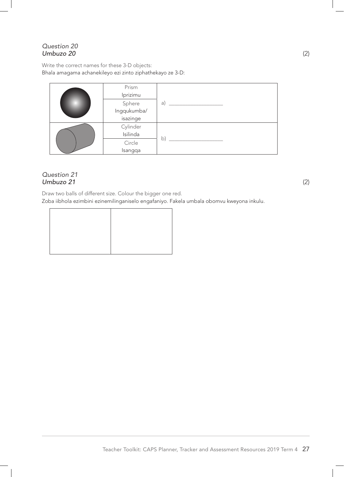#### *Question 20 Umbuzo 20* (2)

Write the correct names for these 3-D objects: Bhala amagama achanekileyo ezi zinto ziphathekayo ze 3-D:

| Prism       |              |
|-------------|--------------|
| Iprizimu    |              |
| Sphere      | a)           |
| Ingqukumba/ |              |
| isazinge    |              |
| Cylinder    |              |
| Isilinda    |              |
| Circle      | $\mathsf{b}$ |
| Isangqa     |              |

#### *Question 21 Umbuzo 21* (2)

Draw two balls of different size. Colour the bigger one red. Zoba iibhola ezimbini ezinemilinganiselo engafaniyo. Fakela umbala obomvu kweyona inkulu.

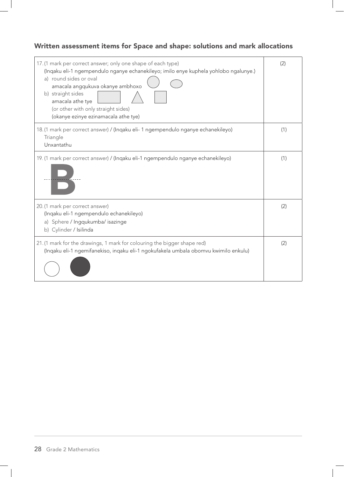## Written assessment items for Space and shape: solutions and mark allocations

| 17. (1 mark per correct answer; only one shape of each type)<br>(Ingaku eli-1 ngempendulo nganye echanekileyo; imilo enye kuphela yohlobo ngalunye.)<br>a) round sides or oval<br>amacala angqukuva okanye ambhoxo<br>b) straight sides<br>amacala athe tye<br>(or other with only straight sides)<br>(okanye ezinye ezinamacala athe tye) | (2) |
|--------------------------------------------------------------------------------------------------------------------------------------------------------------------------------------------------------------------------------------------------------------------------------------------------------------------------------------------|-----|
| 18. (1 mark per correct answer) / (Ingaku eli- 1 ngempendulo nganye echanekileyo)<br>Triangle<br>Unxantathu                                                                                                                                                                                                                                | (1) |
| 19. (1 mark per correct answer) / (Inqaku eli-1 ngempendulo nganye echanekileyo)                                                                                                                                                                                                                                                           | (1) |
| 20. (1 mark per correct answer)<br>(Inqaku eli-1 ngempendulo echanekileyo)<br>a) Sphere / Ingqukumba/ isazinge<br>b) Cylinder / Isilinda                                                                                                                                                                                                   | (2) |
| 21. (1 mark for the drawings, 1 mark for colouring the bigger shape red)<br>(Ingaku eli-1 ngemifanekiso, ingaku eli-1 ngokufakela umbala obomvu kwimilo enkulu)                                                                                                                                                                            | (2) |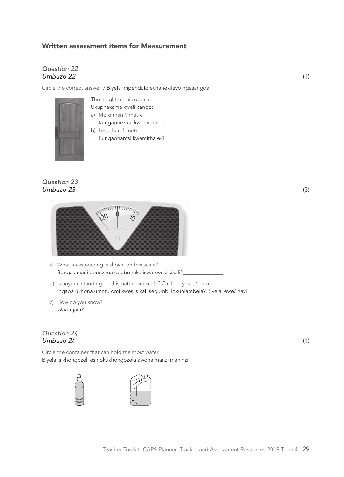#### Written assessment items for Measurement

#### *Question 22 Umbuzo 22* (1)

Circle the correct answer. / Biyela impendulo echanekileyo ngesangqa.



The height of this door is: Ukuphakama kweli cango:

- a) More than 1 metre Kungaphezulu kwemitha e-1
- b) Less than 1 metre Kungaphantsi kwemitha e-1

#### *Question 23 Umbuzo 23* (3)



- a) What mass reading is shown on this scale? Bungakanani ubunzima obubonakaliswa kwesi sikali?\_\_\_\_\_\_\_\_\_\_\_\_\_\_\_
- b) Is anyone standing on this bathroom scale? Circle: yes / no Ingaba ukhona umntu omi kwesi sikali segumbi lokuhlambela? Biyela: ewe/ hayi
- c) How do you know? Wazi njani? \_\_\_\_\_\_\_\_\_\_\_\_\_\_\_\_\_\_\_\_\_\_\_

#### *Question 2***4** *Umbuzo 2***4** (1)

Circle the container that can hold the most water. Biyela isikhongozeli esinokukhongozela awona manzi maninzi.

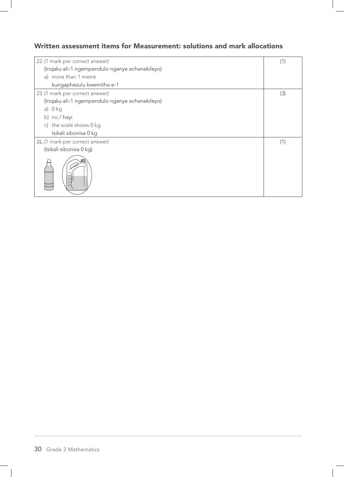### Written assessment items for Measurement: solutions and mark allocations

| 22. (1 mark per correct answer)                | (1) |
|------------------------------------------------|-----|
|                                                |     |
| (Inqaku eli-1 ngempendulo nganye echanekileyo) |     |
| a) more than 1 metre                           |     |
| kungaphezulu kwemitha e-1                      |     |
| 23. (1 mark per correct answer)                | (3) |
| (Inqaku eli-1 ngempendulo nganye echanekileyo) |     |
| a) 0 kg                                        |     |
| b) no / hayi                                   |     |
| c) the scale shows 0 kg                        |     |
| Isikali sibonisa 0 kg                          |     |
| 24. (1 mark per correct answer)                | (1) |
| (Isikali sibonisa 0 kg)                        |     |
|                                                |     |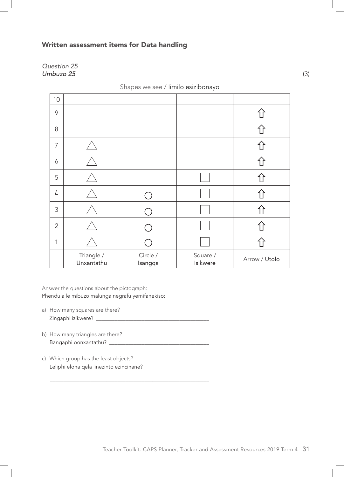#### Written assessment items for Data handling

*Question 25 Umbuzo 25* (3)

| 10             |                          |                     |                      |               |
|----------------|--------------------------|---------------------|----------------------|---------------|
| 9              |                          |                     |                      |               |
| 8              |                          |                     |                      |               |
| $\overline{7}$ |                          |                     |                      |               |
| 6              |                          |                     |                      |               |
| 5              |                          |                     |                      |               |
| 4              |                          |                     |                      |               |
| 3              |                          |                     |                      |               |
| $\overline{2}$ |                          |                     |                      |               |
| 1              |                          |                     |                      |               |
|                | Triangle /<br>Unxantathu | Circle /<br>Isangqa | Square /<br>Isikwere | Arrow / Utolo |

Shapes we see / Iimilo esizibonayo

Answer the questions about the pictograph: Phendula le mibuzo malunga negrafu yemifanekiso:

- a) How many squares are there? Zingaphi izikwere? \_\_\_\_\_\_\_\_\_\_\_\_\_\_\_\_\_\_\_\_\_\_\_\_\_\_\_\_\_\_\_\_\_\_\_\_\_\_\_\_\_\_
- b) How many triangles are there? Bangaphi oonxantathu? \_\_\_\_\_\_\_\_\_\_\_\_\_\_\_\_\_\_\_\_\_\_\_\_\_\_\_\_\_\_\_\_\_\_\_\_\_
- c) Which group has the least objects? Leliphi elona qela linezinto ezincinane?

\_\_\_\_\_\_\_\_\_\_\_\_\_\_\_\_\_\_\_\_\_\_\_\_\_\_\_\_\_\_\_\_\_\_\_\_\_\_\_\_\_\_\_\_\_\_\_\_\_\_\_\_\_\_\_\_\_\_\_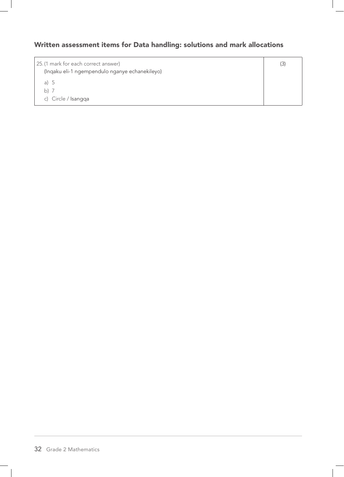### Written assessment items for Data handling: solutions and mark allocations

25.(1 mark for each correct answer) (Inqaku eli-1 ngempendulo nganye echanekileyo) a) 5 b) 7 c) Circle / Isangqa (3)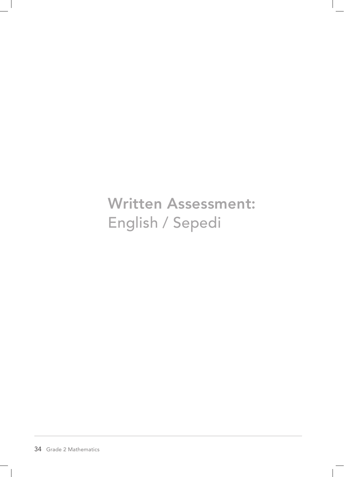Written Assessment: English / Sepedi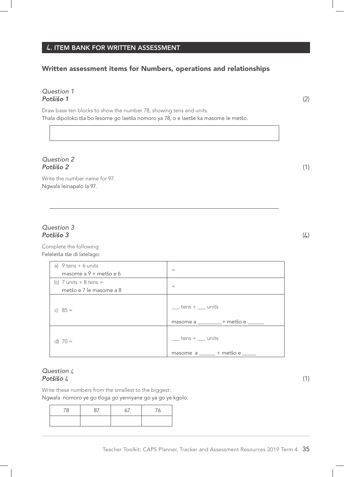## **4**. ITEM BANK FOR WRITTEN ASSESSMENT

## Written assessment items for Numbers, operations and relationships

### *Question 1 Potšišo 1* (2)

Draw base ten blocks to show the number 78, showing tens and units. Thala dipoloko tša bo lesome go laetša nomoro ya 78, o e laetše ka masome le metšo.

### *Question 2 Potšišo 2* (1)

Write the number name for 97. Ngwala leinapalo la 97.

### *Question 3 Potšišo 3* (4)

Complete the following: Feleletša tše di latelago:

| a) $9$ tens + 6 units    | $=$                                                                |
|--------------------------|--------------------------------------------------------------------|
| masome a $9 +$ metšo e 6 |                                                                    |
| b) 7 units $+8$ tens $=$ |                                                                    |
| metšo e 7 le masome a 8  | $=$                                                                |
| c) $85 =$                | $tens + \underline{\qquad}$ units                                  |
|                          | masome a _______ + metšo e _____                                   |
| d) $70 =$                | $tens + \underline{\qquad}$ units<br>masome a _____ + metšo e ____ |

### *Question* 4 *Potšišo* 4 (1)

Write these numbers from the smallest to the biggest: Ngwala nomoro ye go tloga go yennyane go ya go ye kgolo.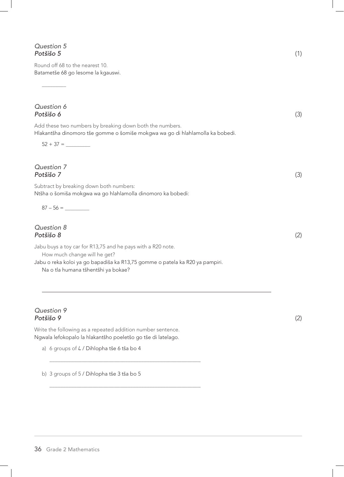### *Question 5 Potšišo 5* (1)

 $\overline{\phantom{a}}$ 

Round off 68 to the nearest 10. Batametše 68 go lesome la kgauswi.

| Question 6<br>Potšišo 6                                                                                                                   | (3) |
|-------------------------------------------------------------------------------------------------------------------------------------------|-----|
| Add these two numbers by breaking down both the numbers.<br>Hlakantšha dinomoro tše gomme o šomiše mokgwa wa go di hlahlamolla ka bobedi. |     |
|                                                                                                                                           |     |
| Question 7<br>Potšišo 7                                                                                                                   | (3) |
| Subtract by breaking down both numbers:<br>Ntšha o šomiša mokgwa wa go hlahlamolla dinomoro ka bobedi:                                    |     |
|                                                                                                                                           |     |
| Question 8<br>Potšišo 8                                                                                                                   | (2) |
| Jabu buys a toy car for R13,75 and he pays with a R20 note.<br>How much change will he get?                                               |     |
| Jabu o reka koloi ya go bapadiša ka R13,75 gomme o patela ka R20 ya pampiri.<br>Na o tla humana tšhentšhi ya bokae?                       |     |
|                                                                                                                                           |     |

### *Question 9 Potšišo 9* (2)

Write the following as a repeated addition number sentence. Ngwala lefokopalo la hlakantšho poeletšo go tše di latelago.

\_\_\_\_\_\_\_\_\_\_\_\_\_\_\_\_\_\_\_\_\_\_\_\_\_\_\_\_\_\_\_\_\_\_\_\_\_\_\_\_\_\_\_\_\_\_\_\_\_\_\_\_\_\_\_\_

\_\_\_\_\_\_\_\_\_\_\_\_\_\_\_\_\_\_\_\_\_\_\_\_\_\_\_\_\_\_\_\_\_\_\_\_\_\_\_\_\_\_\_\_\_\_\_\_\_\_\_\_\_\_\_\_

a) 6 groups of  $\sqrt{2}$  / Dihlopha tše 6 tša bo 4

b) 3 groups of 5 / Dihlopha tše 3 tša bo 5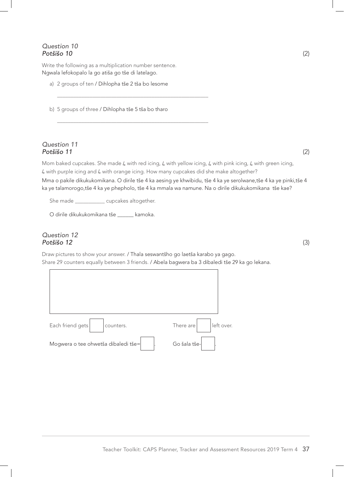### *Question 10 Potšišo 10* (2)

Write the following as a multiplication number sentence. Ngwala lefokopalo la go atiša go tše di latelago.

a) 2 groups of ten / Dihlopha tše 2 tša bo lesome

\_\_\_\_\_\_\_\_\_\_\_\_\_\_\_\_\_\_\_\_\_\_\_\_\_\_\_\_\_\_\_\_\_\_\_\_\_\_\_\_\_\_\_\_\_\_\_\_\_\_\_\_\_\_\_\_

\_\_\_\_\_\_\_\_\_\_\_\_\_\_\_\_\_\_\_\_\_\_\_\_\_\_\_\_\_\_\_\_\_\_\_\_\_\_\_\_\_\_\_\_\_\_\_\_\_\_\_\_\_\_\_\_

b) 5 groups of three / Dihlopha tše 5 tša bo tharo

### *Question 11 Potšišo 11* (2)

Mom baked cupcakes. She made 4 with red icing, 4 with yellow icing, 4 with pink icing, 4 with green icing, 4 with purple icing and 4 with orange icing. How many cupcakes did she make altogether?

Mma o pakile dikukukomikana. O dirile tše 4 ka aesing ye khwibidu, tše 4 ka ye serolwane,tše 4 ka ye pinki,tše 4 ka ye talamorogo,tše 4 ka ye phepholo, tše 4 ka mmala wa namune. Na o dirile dikukukomikana tše kae?

She made \_\_\_\_\_\_\_\_\_\_\_\_ cupcakes altogether.

O dirile dikukukomikana tše \_\_\_\_\_\_ kamoka.

### *Question 12 Potšišo 12* (3)

Draw pictures to show your answer. / Thala seswantšho go laetša karabo ya gago. Share 29 counters equally between 3 friends. / Abela bagwera ba 3 dibaledi tše 29 ka go lekana.

| Each friend gets<br>counters.       | left over.<br>There are |
|-------------------------------------|-------------------------|
| Mogwera o tee ohwetša dibaledi tše= | Go šala tše-            |

Teacher Toolkit: CAPS Planner, Tracker and Assessment Resources 2019 Term 4 37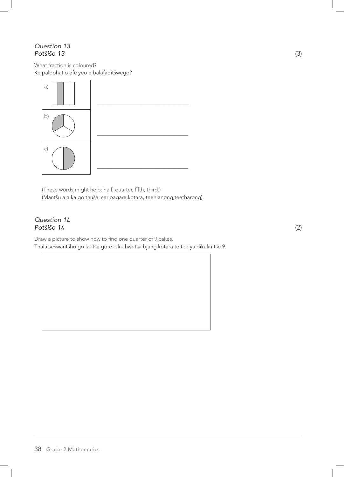### *Question 13 Potšišo 13* (3)

What fraction is coloured? Ke palophatlo efe yeo e balafaditšwego?



(These words might help: half, quarter, fifth, third.) (Mantšu a a ka go thuša: seripagare,kotara, teehlanong,teetharong).

### *Question 1***4** *Potšišo 1***4** (2)

Draw a picture to show how to find one quarter of 9 cakes. Thala seswantšho go laetša gore o ka hwetša bjang kotara te tee ya dikuku tše 9.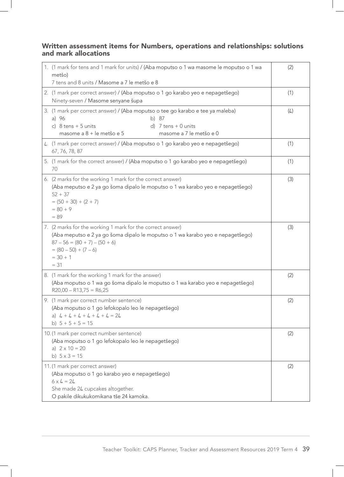### Written assessment items for Numbers, operations and relationships: solutions and mark allocations

| 1. (1 mark for tens and 1 mark for units) / (Aba moputso o 1 wa masome le moputso o 1 wa<br>metšo)                                                                                                                                 | (2) |
|------------------------------------------------------------------------------------------------------------------------------------------------------------------------------------------------------------------------------------|-----|
| 7 tens and 8 units / Masome a 7 le metšo e 8                                                                                                                                                                                       |     |
| 2. (1 mark per correct answer) / (Aba moputso o 1 go karabo yeo e nepagetšego)<br>Ninety-seven / Masome senyane šupa                                                                                                               | (1) |
| 3. (1 mark per correct answer) / (Aba moputso o tee go karabo e tee ya maleba)<br>a) 96<br>b) 87<br>c) $8$ tens + 5 units<br>d) $7$ tens $+$ 0 units<br>masome a 8 + le metšo e 5<br>masome a 7 le metšo e 0                       | (4) |
| 4. (1 mark per correct answer) / (Aba moputso o 1 go karabo yeo e nepagetšego)<br>67, 76, 78, 87                                                                                                                                   | (1) |
| 5. (1 mark for the correct answer) / (Aba moputso o 1 go karabo yeo e nepagetšego)<br>70                                                                                                                                           | (1) |
| 6. (2 marks for the working 1 mark for the correct answer)<br>(Aba meputso e 2 ya go šoma dipalo le moputso o 1 wa karabo yeo e nepagetšego)<br>$52 + 37$<br>$= (50 + 30) + (2 + 7)$<br>$= 80 + 9$<br>$= 89$                       | (3) |
| 7. (2 marks for the working 1 mark for the correct answer)<br>(Aba meputso e 2 ya go šoma dipalo le moputso o 1 wa karabo yeo e nepagetšego)<br>$87 - 56 = (80 + 7) - (50 + 6)$<br>$= (80 - 50) + (7 - 6)$<br>$= 30 + 1$<br>$= 31$ | (3) |
| 8. (1 mark for the working 1 mark for the answer)<br>(Aba moputso o 1 wa go šoma dipalo le moputso o 1 wa karabo yeo e nepagetšego)<br>$R20,00 - R13,75 = R6,25$                                                                   | (2) |
| 9. (1 mark per correct number sentence)<br>(Aba moputso o 1 go lefokopalo leo le nepagetšego)<br>a) $4 + 4 + 4 + 4 + 4 + 4 = 24$<br>b) $5 + 5 + 5 = 15$                                                                            | (2) |
| 10. (1 mark per correct number sentence)<br>(Aba moputso o 1 go lefokopalo leo le nepagetšego)<br>a) $2 \times 10 = 20$<br>b) $5 \times 3 = 15$                                                                                    | (2) |
| 11.(1 mark per correct answer)<br>(Aba moputso o 1 go karabo yeo e nepagetšego)<br>$6 \times 4 = 24$<br>She made 24 cupcakes altogether.<br>O pakile dikukukomikana tše 24 kamoka.                                                 | (2) |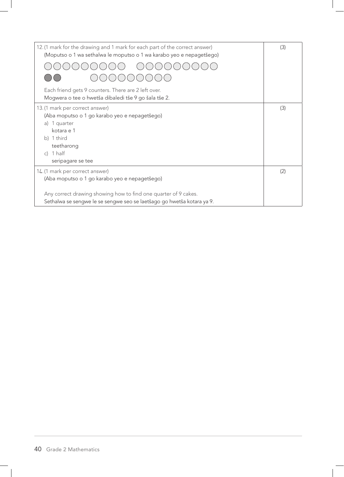| 12. (1 mark for the drawing and 1 mark for each part of the correct answer)<br>(Moputso o 1 wa sethalwa le moputso o 1 wa karabo yeo e nepagetšego) | (3) |
|-----------------------------------------------------------------------------------------------------------------------------------------------------|-----|
|                                                                                                                                                     |     |
|                                                                                                                                                     |     |
| Each friend gets 9 counters. There are 2 left over.<br>Mogwera o tee o hwetša dibaledi tše 9 go šala tše 2.                                         |     |
| 13. (1 mark per correct answer)                                                                                                                     | (3) |
| (Aba moputso o 1 go karabo yeo e nepagetšego)                                                                                                       |     |
| 1 quarter<br>a)                                                                                                                                     |     |
| kotara e 1                                                                                                                                          |     |
| b) 1 third                                                                                                                                          |     |
| teetharong                                                                                                                                          |     |
| c) $1$ half                                                                                                                                         |     |
| seripagare se tee                                                                                                                                   |     |
| 14. (1 mark per correct answer)                                                                                                                     | (2) |
| (Aba moputso o 1 go karabo yeo e nepagetšego)                                                                                                       |     |
| Any correct drawing showing how to find one quarter of 9 cakes.<br>Sethalwa se sengwe le se sengwe seo se laetšago go hwetša kotara ya 9.           |     |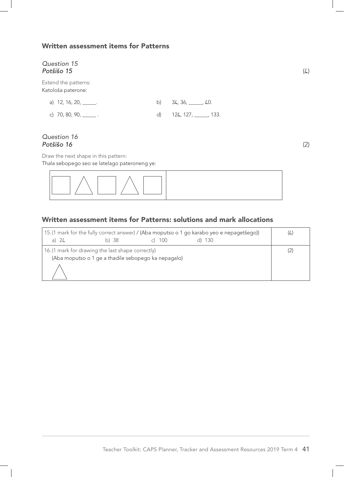### Written assessment items for Patterns

### *Question 15 Potšišo 15* (4)

Extend the patterns: Katološa paterone:

| a) 12, 16, 20, ______.         | b) $34, 36, \underline{\qquad}$ , 40. |  |
|--------------------------------|---------------------------------------|--|
| c) 70, 80, 90, $\frac{1}{2}$ . | d) 124, 127, 133.                     |  |

### *Question 16 Potšišo 16* (2)

Draw the next shape in this pattern:

Thala sebopego seo se latelago pateroneng ye:

|  | $\Box \wedge \Box \wedge$ |
|--|---------------------------|
|  |                           |

### Written assessment items for Patterns: solutions and mark allocations

| a) $24$ | b)38                                              | . 100                                               | 15. (1 mark for the fully correct answer) / (Aba moputso o 1 go karabo yeo e nepagetšego))<br>130 | 4. |
|---------|---------------------------------------------------|-----------------------------------------------------|---------------------------------------------------------------------------------------------------|----|
|         | 16. (1 mark for drawing the last shape correctly) | (Aba moputso o 1 ge a thadile sebopego ka nepagalo) |                                                                                                   |    |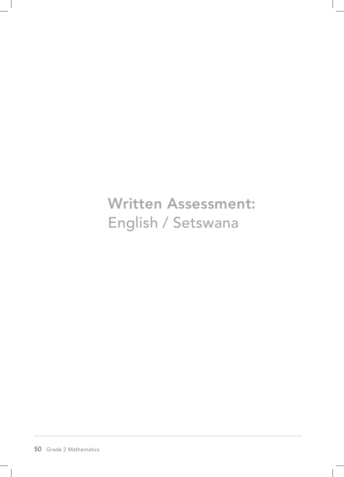Written Assessment: English / Setswana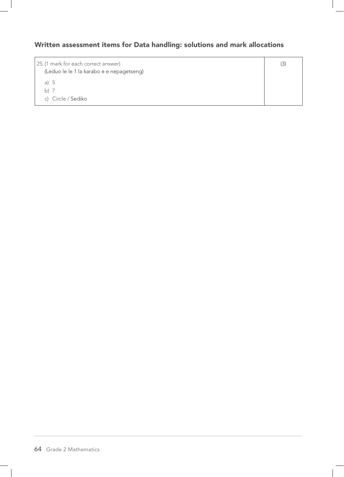## Written assessment items for Data handling: solutions and mark allocations

| 25. (1 mark for each correct answer)<br>(Leduo le le 1 la karabo e e nepagetseng) | (3) |
|-----------------------------------------------------------------------------------|-----|
| a) $5$                                                                            |     |
| $h)$ /                                                                            |     |
| c) Circle / Sediko                                                                |     |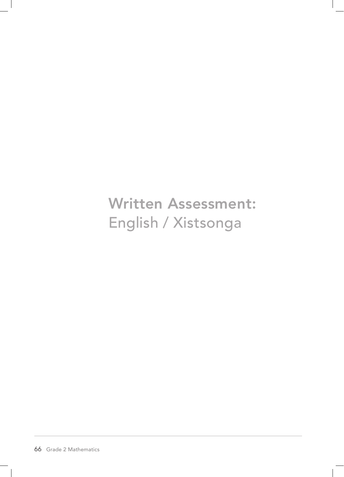**Written Assessment:** English / Xistsonga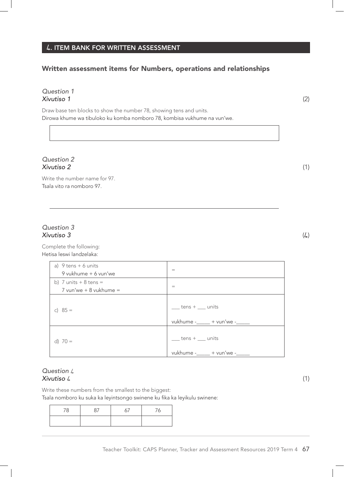### **4**. ITEM BANK FOR WRITTEN ASSESSMENT

## Written assessment items for Numbers, operations and relationships

### *Question 1 Xivutiso 1* (2)

Draw base ten blocks to show the number 78, showing tens and units. Dirowa khume wa tibuloko ku komba nomboro 78, kombisa vukhume na vun'we.

#### *Question 2 Xivutiso 2* (1)

Write the number name for 97. Tsala vito ra nomboro 97.

### *Question 3 Xivutiso 3* (4)

Complete the following: Hetisa leswi landzelaka:

| a) $9$ tens + 6 units<br>9 vukhume + 6 vun'we      | $=$                                                                       |
|----------------------------------------------------|---------------------------------------------------------------------------|
| b) 7 units $+8$ tens =<br>$7$ vun'we + 8 vukhume = | $=$                                                                       |
| c) $85 =$                                          | $tens + \underline{\hspace{1cm}}$ units<br>vukhume -_____ + vun'we -_____ |
| d) $70 =$                                          | $tens + \underline{\hspace{1cm}}$ units<br>vukhume -_____ + vun'we -_     |

### *Question* 4 *Xivutiso* 4 (1)

Write these numbers from the smallest to the biggest: Tsala nomboro ku suka ka leyintsongo swinene ku fika ka leyikulu swinene: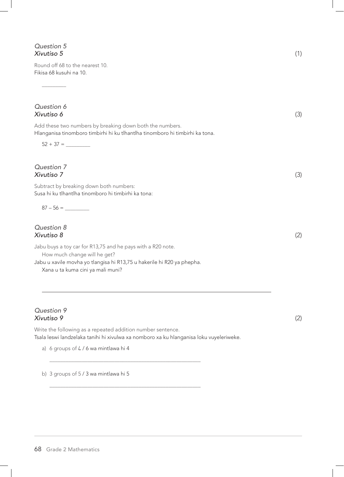### *Question 5 Xivutiso 5* (1)

 $\overline{\phantom{a}}$ 

Round off 68 to the nearest 10. Fikisa 68 kusuhi na 10.

# *Question 6 Xivutiso 6* (3) Add these two numbers by breaking down both the numbers. Hlanganisa tinomboro timbirhi hi ku tlhantlha tinomboro hi timbirhi ka tona. 52 + 37 = \_\_\_\_\_\_\_\_\_ *Question 7 Xivutiso 7* (3) Subtract by breaking down both numbers: Susa hi ku tlhantlha tinomboro hi timbirhi ka tona:  $87 - 56 =$ *Question 8 Xivutiso 8* (2) Jabu buys a toy car for R13,75 and he pays with a R20 note. How much change will he get? Jabu u xavile movha yo tlangisa hi R13,75 u hakerile hi R20 ya phepha. Xana u ta kuma cini ya mali muni?

### *Question 9 Xivutiso 9* (2)

Write the following as a repeated addition number sentence. Tsala leswi landzelaka tanihi hi xivulwa xa nomboro xa ku hlanganisa loku vuyeleriweke.

\_\_\_\_\_\_\_\_\_\_\_\_\_\_\_\_\_\_\_\_\_\_\_\_\_\_\_\_\_\_\_\_\_\_\_\_\_\_\_\_\_\_\_\_\_\_\_\_\_\_\_\_\_\_\_\_

\_\_\_\_\_\_\_\_\_\_\_\_\_\_\_\_\_\_\_\_\_\_\_\_\_\_\_\_\_\_\_\_\_\_\_\_\_\_\_\_\_\_\_\_\_\_\_\_\_\_\_\_\_\_\_\_

a) 6 groups of  $4 / 6$  wa mintlawa hi 4

b) 3 groups of 5 / 3 wa mintlawa hi 5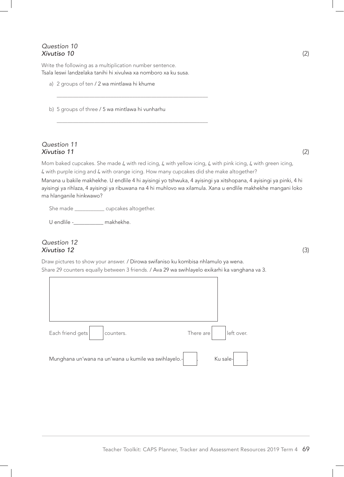### *Question 10 Xivutiso 10* (2)

Write the following as a multiplication number sentence. Tsala leswi landzelaka tanihi hi xivulwa xa nomboro xa ku susa.

\_\_\_\_\_\_\_\_\_\_\_\_\_\_\_\_\_\_\_\_\_\_\_\_\_\_\_\_\_\_\_\_\_\_\_\_\_\_\_\_\_\_\_\_\_\_\_\_\_\_\_\_\_\_\_\_

\_\_\_\_\_\_\_\_\_\_\_\_\_\_\_\_\_\_\_\_\_\_\_\_\_\_\_\_\_\_\_\_\_\_\_\_\_\_\_\_\_\_\_\_\_\_\_\_\_\_\_\_\_\_\_\_

a) 2 groups of ten / 2 wa mintlawa hi khume

b) 5 groups of three / 5 wa mintlawa hi vunharhu

### *Question 11 Xivutiso 11* (2)

Mom baked cupcakes. She made 4 with red icing, 4 with yellow icing, 4 with pink icing, 4 with green icing, 4 with purple icing and 4 with orange icing. How many cupcakes did she make altogether?

Manana u bakile makhekhe. U endlile 4 hi ayisingi yo tshwuka, 4 ayisingi ya xitshopana, 4 ayisingi ya pinki, 4 hi ayisingi ya rihlaza, 4 ayisingi ya ribuwana na 4 hi muhlovo wa xilamula. Xana u endlile makhekhe mangani loko ma hlanganile hinkwawo?

She made \_\_\_\_\_\_\_\_\_\_\_\_ cupcakes altogether.

U endlile -\_\_\_\_\_\_\_\_\_\_\_ makhekhe.

### *Question 12 Xivutiso 12* (3)

Draw pictures to show your answer. / Dirowa swifaniso ku kombisa nhlamulo ya wena. Share 29 counters equally between 3 friends. / Ava 29 wa swihlayelo exikarhi ka vanghana va 3.

| Each friend gets<br>counters.                        | There are | left over. |
|------------------------------------------------------|-----------|------------|
| Munghana un'wana na un'wana u kumile wa swihlayelo.- |           | Ku sale-   |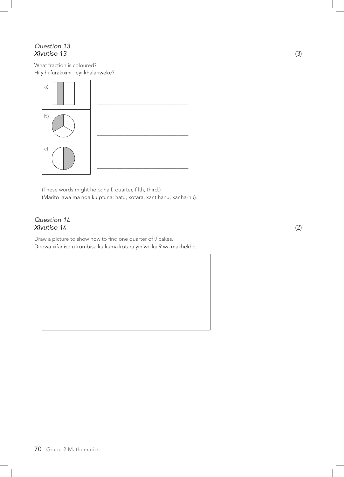### *Question 13 Xivutiso 13* (3)

What fraction is coloured? Hi yihi furakixini leyi khalariweke?



(These words might help: half, quarter, fifth, third.) (Marito lawa ma nga ku pfuna: hafu, kotara, xantlhanu, xanharhu).

### *Question 1***4** *Xivutiso 1***4** (2)

Draw a picture to show how to find one quarter of 9 cakes. Dirowa xifaniso u kombisa ku kuma kotara yin'we ka 9 wa makhekhe.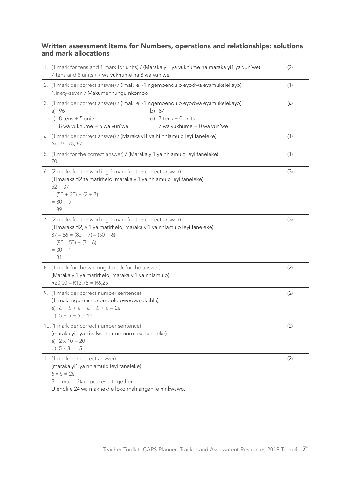## Written assessment items for Numbers, operations and relationships: solutions and mark allocations

| 1. (1 mark for tens and 1 mark for units) / (Maraka yi1 ya vukhume na maraka yi1 ya vun'we)<br>7 tens and 8 units / 7 wa vukhume na 8 wa vun'we                                                                            | (2) |
|----------------------------------------------------------------------------------------------------------------------------------------------------------------------------------------------------------------------------|-----|
| 2. (1 mark per correct answer) / (Imaki eli-1 ngempendulo eyodwa eyamukelekayo)<br>Ninety-seven / Makumenhungu nkombo                                                                                                      | (1) |
| 3. (1 mark per correct answer) / (Imaki eli-1 ngempendulo eyodwa eyamukelekayo)<br>a) 96<br>b) 87<br>c) $8$ tens + 5 units<br>d) $7$ tens $+$ 0 units<br>8 wa vukhume + 5 wa vun'we<br>7 wa vukhume + 0 wa vun'we          | (4) |
| 4. (1 mark per correct answer) / (Maraka yi1 ya hi nhlamulo leyi faneleke)<br>67, 76, 78, 87                                                                                                                               | (1) |
| 5. (1 mark for the correct answer) / (Maraka yi1 ya nhlamulo leyi faneleke)<br>70                                                                                                                                          | (1) |
| 6. (2 marks for the working 1 mark for the correct answer)<br>(Timaraka ti2 ta matirhelo, maraka yi1 ya nhlamulo leyi faneleke)<br>$52 + 37$<br>$= (50 + 30) + (2 + 7)$<br>$= 80 + 9$<br>$= 89$                            | (3) |
| 7. (2 marks for the working 1 mark for the correct answer)<br>(Timaraka ti2, yi1 ya matirhelo, maraka yi1 ya nhlamulo leyi faneleke)<br>$87 - 56 = (80 + 7) - (50 + 6)$<br>$= (80 - 50) + (7 - 6)$<br>$= 30 + 1$<br>$= 31$ | (3) |
| 8. (1 mark for the working 1 mark for the answer)<br>(Maraka yi1 ya matirhelo, maraka yi1 ya nhlamulo)<br>$R20,00 - R13,75 = R6,25$                                                                                        | (2) |
| 9. (1 mark per correct number sentence)<br>(1 imaki ngomushonombolo owodwa okahle)<br>a) $4 + 4 + 4 + 4 + 4 + 4 = 24$<br>b) $5 + 5 + 5 = 15$                                                                               | (2) |
| 10. (1 mark per correct number sentence)<br>(maraka yi1 ya xivulwa xa nomboro lexi faneleke)<br>a) $2 \times 10 = 20$<br>b) $5 \times 3 = 15$                                                                              | (2) |
| 11.(1 mark per correct answer)<br>(maraka yi1 ya nhlamulo leyi faneleke)<br>$6 \times 4 = 24$<br>She made 24 cupcakes altogether.<br>U endlile 24 wa makhekhe loko mahlanganile hinkwawo.                                  | (2) |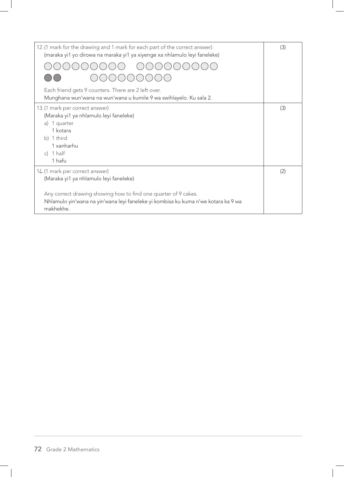| 12. (1 mark for the drawing and 1 mark for each part of the correct answer)<br>(maraka yi1 yo dirowa na maraka yi1 ya xiyenge xa nhlamulo leyi faneleke)                                                                                        | (3) |
|-------------------------------------------------------------------------------------------------------------------------------------------------------------------------------------------------------------------------------------------------|-----|
| Each friend gets 9 counters. There are 2 left over.<br>Munghana wun'wana na wun'wana u kumile 9 wa swihlayelo. Ku sala 2.                                                                                                                       |     |
| 13. (1 mark per correct answer)<br>(Maraka yi1 ya nhlamulo leyi faneleke)<br>1 quarter<br>a)<br>1 kotara<br>b) 1 third<br>1 xanharhu<br>c) $1$ half<br>1 hafu                                                                                   | (3) |
| 14. (1 mark per correct answer)<br>(Maraka yi1 ya nhlamulo leyi faneleke)<br>Any correct drawing showing how to find one quarter of 9 cakes.<br>Nhlamulo yin'wana na yin'wana leyi faneleke yi kombisa ku kuma n'we kotara ka 9 wa<br>makhekhe. | (2) |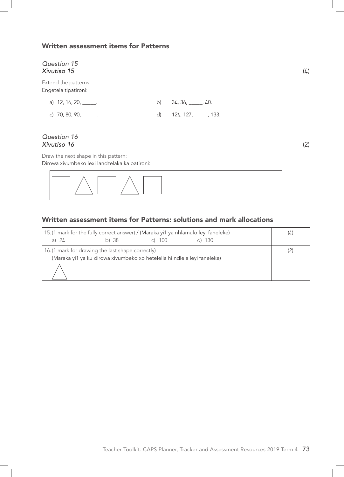## Written assessment items for Patterns

## *Question 15 Xivutiso 15* (4)

Extend the patterns: Engetela tipatironi:

| a) 12, 16, 20, ______.         | b) $34, 36, \underline{\qquad}$ , 40. |
|--------------------------------|---------------------------------------|
| c) 70, 80, 90, $\frac{1}{2}$ . | d) $124, 127, \_\_\_\_\_$ , 133.      |

#### *Question 16 Xivutiso 16* (2)

Draw the next shape in this pattern: Dirowa xivumbeko lexi landzelaka ka patironi:

|  | $\begin{array}{c} \begin{array}{c} \begin{array}{c} \end{array} \\ \begin{array}{c} \end{array} \end{array} \end{array}$ |  |  |
|--|--------------------------------------------------------------------------------------------------------------------------|--|--|
|  |                                                                                                                          |  |  |

# Written assessment items for Patterns: solutions and mark allocations

| a) $24$ | b) 38                                                                                                                         | c) $100$ | 15. (1 mark for the fully correct answer) / (Maraka yi1 ya nhlamulo leyi faneleke)<br>-130 | (4) |
|---------|-------------------------------------------------------------------------------------------------------------------------------|----------|--------------------------------------------------------------------------------------------|-----|
|         | 16. (1 mark for drawing the last shape correctly)<br>(Maraka yi1 ya ku dirowa xivumbeko xo hetelella hi ndlela leyi faneleke) |          |                                                                                            |     |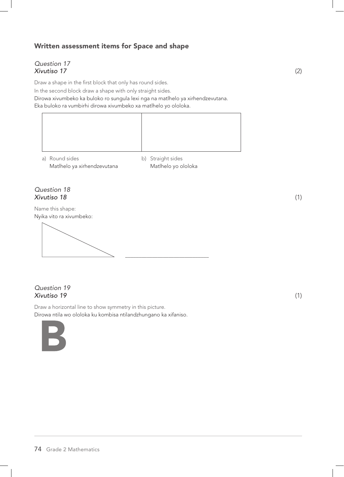## Written assessment items for Space and shape

## *Question 17 Xivutiso 17* (2)

Draw a shape in the first block that only has round sides.

In the second block draw a shape with only straight sides.

Dirowa xivumbeko ka buloko ro sungula lexi nga na matlhelo ya xirhendzevutana. Eka buloko ra vumbirhi dirowa xivumbeko xa matlhelo yo ololoka.



a) Round sides b) Straight sides Matlhelo ya xirhendzevutana Matlhelo yo ololoka

## *Question 18 Xivutiso 18* (1)

Name this shape: Nyika vito ra xivumbeko:

\_\_\_\_\_\_\_\_\_\_\_\_\_\_\_\_\_\_\_\_\_\_\_\_\_\_\_\_\_\_\_

## *Question 19 Xivutiso 19* (1)

Draw a horizontal line to show symmetry in this picture. Dirowa ntila wo ololoka ku kombisa ntilandzhungano ka xifaniso.

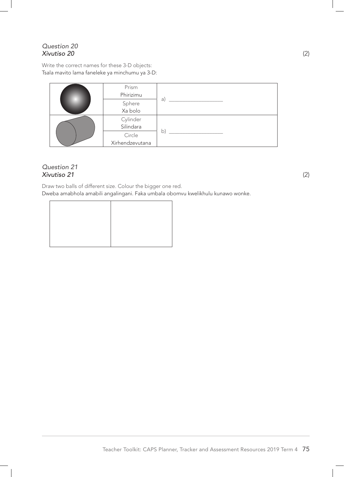## *Question 20 Xivutiso 20* (2)

Write the correct names for these 3-D objects: Tsala mavito lama faneleke ya minchumu ya 3-D:

| Prism<br>Phirizimu |    |
|--------------------|----|
| Sphere<br>Xa bolo  | a) |
|                    |    |
| Cylinder           |    |
| Silindara          |    |
| Circle             | b  |
| Xirhendzevutana    |    |

## *Question 21 Xivutiso 21* (2)

Draw two balls of different size. Colour the bigger one red. Dweba amabhola amabili angalingani. Faka umbala obomvu kwelikhulu kunawo wonke.

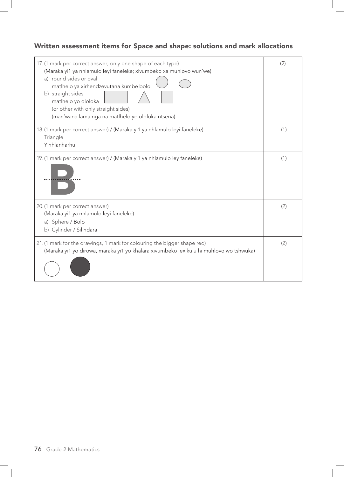# Written assessment items for Space and shape: solutions and mark allocations

| 17. (1 mark per correct answer; only one shape of each type)<br>(Maraka yi1 ya nhlamulo leyi faneleke; xivumbeko xa muhlovo wun'we)<br>a) round sides or oval<br>matlhelo ya xirhendzevutana kumbe bolo<br>b) straight sides<br>matlhelo yo ololoka<br>(or other with only straight sides)<br>(man'wana lama nga na matlhelo yo ololoka ntsena) | (2) |
|-------------------------------------------------------------------------------------------------------------------------------------------------------------------------------------------------------------------------------------------------------------------------------------------------------------------------------------------------|-----|
| 18.(1 mark per correct answer) / (Maraka yi1 ya nhlamulo leyi faneleke)<br>Triangle<br>Yinhlanharhu                                                                                                                                                                                                                                             | (1) |
| 19. (1 mark per correct answer) / (Maraka yi1 ya nhlamulo ley faneleke)                                                                                                                                                                                                                                                                         | (1) |
| 20. (1 mark per correct answer)<br>(Maraka yi1 ya nhlamulo leyi faneleke)<br>a) Sphere / Bolo<br>b) Cylinder / Silindara                                                                                                                                                                                                                        | (2) |
| 21. (1 mark for the drawings, 1 mark for colouring the bigger shape red)<br>(Maraka yi1 yo dirowa, maraka yi1 yo khalara xivumbeko lexikulu hi muhlovo wo tshwuka)                                                                                                                                                                              | (2) |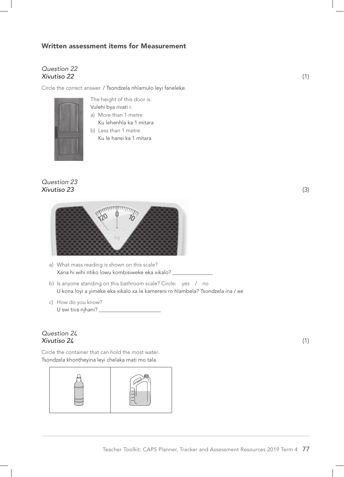## Written assessment items for Measurement

## *Question 22 Xivutiso 22* (1)

Circle the correct answer. / Tsondzela nhlamulo leyi faneleke.



The height of this door is: Vulehi bya rivati i:

- a) More than 1 metre Ku lehenhla ka 1 mitara
- b) Less than 1 metre Ku le hansi ka 1 mitara

#### *Question 23 Xivutiso 23* (3)



- a) What mass reading is shown on this scale? Xana hi wihi ntiko lowu kombisiweke eka xikalo? \_\_\_\_\_\_\_\_\_\_\_\_\_\_\_\_\_\_\_\_\_\_\_\_\_\_\_\_\_\_\_\_
- b) Is anyone standing on this bathroom scale? Circle: yes / no U kona loyi a yimeke eka xikalo xa le kamereni ro hlambela? Tsondzela ina / ee
- c) How do you know? U swi tiva njhani? \_\_

## *Question 2***4** *Xivutiso 2***4** (1)

Circle the container that can hold the most water. Tsondzela khontheyina leyi chelaka mati mo tala.

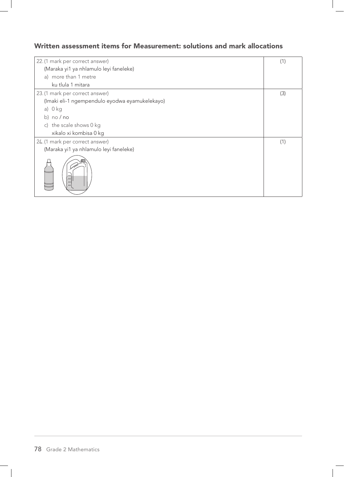## Written assessment items for Measurement: solutions and mark allocations

| 22. (1 mark per correct answer)                | (1) |
|------------------------------------------------|-----|
| (Maraka yi1 ya nhlamulo leyi faneleke)         |     |
| a) more than 1 metre                           |     |
| ku tlula 1 mitara                              |     |
| 23. (1 mark per correct answer)                | (3) |
| (Imaki eli-1 ngempendulo eyodwa eyamukelekayo) |     |
| a) $0$ kg                                      |     |
| b) $no/no$                                     |     |
| c) the scale shows 0 kg                        |     |
| xikalo xi kombisa 0 kg                         |     |
| 24. (1 mark per correct answer)                | (1) |
| (Maraka yi1 ya nhlamulo leyi faneleke)         |     |
|                                                |     |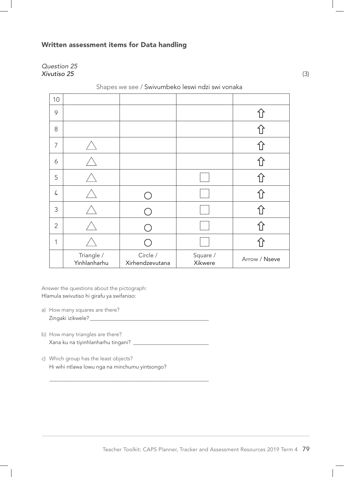## Written assessment items for Data handling

*Question 25 Xivutiso 25* (3)

| 10             |                            |                             |                     |               |
|----------------|----------------------------|-----------------------------|---------------------|---------------|
| 9              |                            |                             |                     | 仆             |
| 8              |                            |                             |                     |               |
| $\overline{7}$ |                            |                             |                     |               |
| 6              |                            |                             |                     |               |
| 5              |                            |                             |                     |               |
| 4              |                            |                             |                     |               |
| 3              |                            |                             |                     |               |
| $\overline{2}$ |                            |                             |                     |               |
| 1              |                            |                             |                     |               |
|                | Triangle /<br>Yinhlanharhu | Circle /<br>Xirhendzevutana | Square /<br>Xikwere | Arrow / Nseve |

Shapes we see / Swivumbeko leswi ndzi swi vonaka

Answer the questions about the pictograph: Hlamula swivutiso hi girafu ya swifaniso:

- a) How many squares are there? Zingaki izikwele? \_\_\_\_\_\_\_\_\_\_\_\_\_\_\_\_\_\_\_\_\_\_\_\_\_\_\_\_\_\_\_\_\_\_\_\_\_\_\_\_\_\_\_\_
- b) How many triangles are there? Xana ku na tiyinhlanharhu tingani? \_\_\_\_\_\_\_\_\_\_\_\_\_\_\_\_\_\_\_\_\_\_\_\_\_\_\_\_

\_\_\_\_\_\_\_\_\_\_\_\_\_\_\_\_\_\_\_\_\_\_\_\_\_\_\_\_\_\_\_\_\_\_\_\_\_\_\_\_\_\_\_\_\_\_\_\_\_\_\_\_\_\_\_\_\_\_\_

c) Which group has the least objects? Hi wihi ntlawa lowu nga na minchumu yintsongo?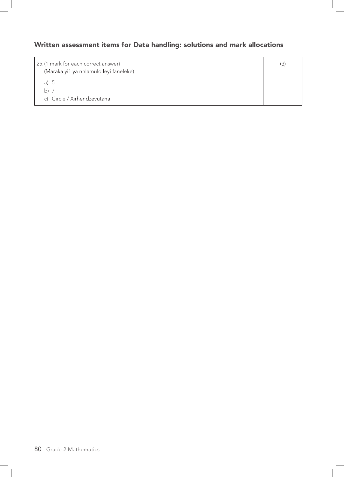# Written assessment items for Data handling: solutions and mark allocations

| 25. (1 mark for each correct answer)<br>(Maraka yi1 ya nhlamulo leyi faneleke) | (3) |
|--------------------------------------------------------------------------------|-----|
| a) $5$                                                                         |     |
| b) $7$                                                                         |     |
| c) Circle / Xirhendzevutana                                                    |     |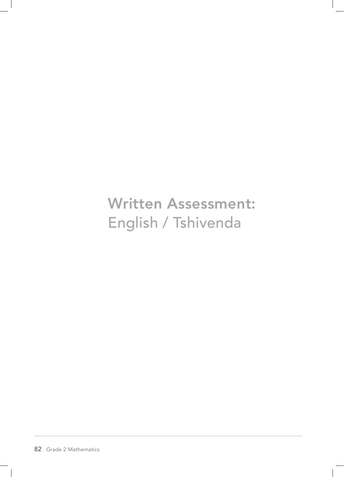Written Assessment: English / Tshivenda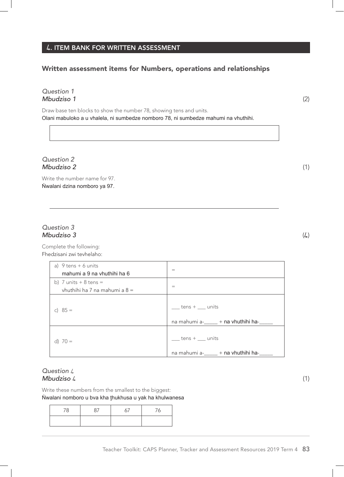## **4**. ITEM BANK FOR WRITTEN ASSESSMENT

## Written assessment items for Numbers, operations and relationships

#### *Question 1 Mbudziso 1* (2)

Draw base ten blocks to show the number 78, showing tens and units. Olani mabuloko a u vhalela, ni sumbedze nomboro 78, ni sumbedze mahumi na vhuthihi.

*Question 2 Mbudziso 2* (1)

Write the number name for 97. Ṅwalani dzina nomboro ya 97.

## *Question 3 Mbudziso 3* (4)

Complete the following: Fhedzisani zwi tevhelaho:

| a) $9$ tens $+6$ units<br>mahumi a 9 na vhuthihi ha 6     | $=$                                                                 |
|-----------------------------------------------------------|---------------------------------------------------------------------|
| b) 7 units $+8$ tens $=$<br>vhuthihi ha 7 na mahumi a 8 = | $=$                                                                 |
| c) $85 =$                                                 | $_t$ tens $+$ $\_\_$ units<br>na mahumi a-_____ + na vhuthihi ha-__ |
| d) $70 =$                                                 | tens $+$ $\quad$ units<br>na mahumi a-_____ + na vhuthihi ha-___    |

#### *Question* 4 *Mbudziso* 4 (1)

Write these numbers from the smallest to the biggest: Ṅwalani nomboro u bva kha ṱhukhusa u yak ha khulwanesa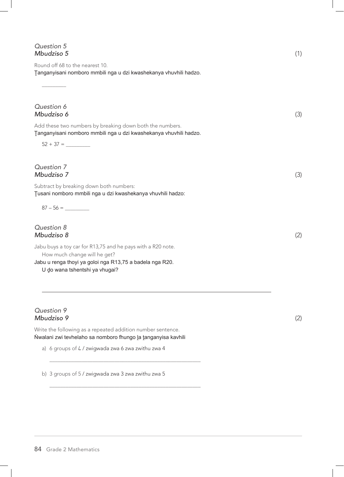| Question 5 |  |
|------------|--|
| Mbudziso 5 |  |

 $\overline{\phantom{a}}$ 

Round off 68 to the nearest 10. Tanganyisani nomboro mmbili nga u dzi kwashekanya vhuvhili hadzo.

*Question 6 Mbudziso 6* (3) Add these two numbers by breaking down both the numbers. Ṱanganyisani nomboro mmbili nga u dzi kwashekanya vhuvhili hadzo. 52 + 37 = \_\_\_\_\_\_\_\_\_ *Question 7 Mbudziso 7* (3) Subtract by breaking down both numbers: Ṱusani nomboro mmbili nga u dzi kwashekanya vhuvhili hadzo:  $87 - 56 =$ *Question 8 Mbudziso 8* (2)

Jabu buys a toy car for R13,75 and he pays with a R20 note. How much change will he get? Jabu u renga thoyi ya goloi nga R13,75 a badela nga R20.

U do wana tshentshi ya vhugai?

#### *Question 9 Mbudziso 9* (2)

Write the following as a repeated addition number sentence. Nwalani zwi tevhelaho sa nomboro fhungo la tanganyisa kavhili

\_\_\_\_\_\_\_\_\_\_\_\_\_\_\_\_\_\_\_\_\_\_\_\_\_\_\_\_\_\_\_\_\_\_\_\_\_\_\_\_\_\_\_\_\_\_\_\_\_\_\_\_\_\_\_\_

\_\_\_\_\_\_\_\_\_\_\_\_\_\_\_\_\_\_\_\_\_\_\_\_\_\_\_\_\_\_\_\_\_\_\_\_\_\_\_\_\_\_\_\_\_\_\_\_\_\_\_\_\_\_\_\_

a) 6 groups of 4 / zwigwada zwa 6 zwa zwithu zwa 4

b) 3 groups of 5 / zwigwada zwa 3 zwa zwithu zwa 5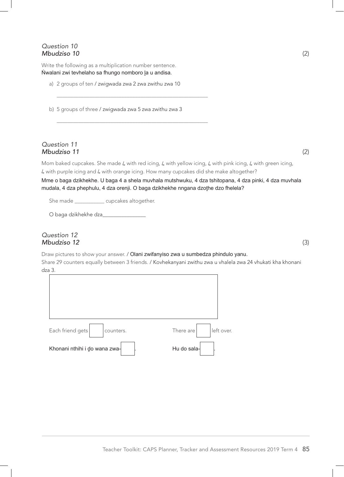#### *Question 10 Mbudziso 10* (2)

Write the following as a multiplication number sentence. Nwalani zwi tevhelaho sa fhungo nomboro la u andisa.

a) 2 groups of ten / zwigwada zwa 2 zwa zwithu zwa 10

b) 5 groups of three / zwigwada zwa 5 zwa zwithu zwa 3

\_\_\_\_\_\_\_\_\_\_\_\_\_\_\_\_\_\_\_\_\_\_\_\_\_\_\_\_\_\_\_\_\_\_\_\_\_\_\_\_\_\_\_\_\_\_\_\_\_\_\_\_\_\_\_\_

\_\_\_\_\_\_\_\_\_\_\_\_\_\_\_\_\_\_\_\_\_\_\_\_\_\_\_\_\_\_\_\_\_\_\_\_\_\_\_\_\_\_\_\_\_\_\_\_\_\_\_\_\_\_\_\_

#### *Question 11 Mbudziso 11* (2)

Mom baked cupcakes. She made 4 with red icing, 4 with yellow icing, 4 with pink icing, 4 with green icing, 4 with purple icing and 4 with orange icing. How many cupcakes did she make altogether?

Mme o baga dzikhekhe. U baga 4 a shela muvhala mutshwuku, 4 dza tshitopana, 4 dza pinki, 4 dza muvhala mudala, 4 dza phephulu, 4 dza orenji. O baga dzikhekhe nngana dzothe dzo fhelela?

She made \_\_\_\_\_\_\_\_\_\_\_\_ cupcakes altogether.

O baga dzikhekhe dza\_\_\_\_

#### *Question 12 Mbudziso 12* (3)

Draw pictures to show your answer. / Olani zwifanyiso zwa u sumbedza phindulo yanu. Share 29 counters equally between 3 friends. / Kovhekanyani zwithu zwa u vhalela zwa 24 vhukati kha khonani dza 3.

| Each friend gets<br>counters. | left over.<br>There are |
|-------------------------------|-------------------------|
| Khonani nthihi i do wana zwa- | Hu do sala-             |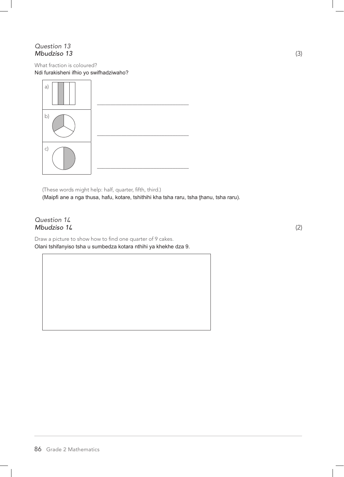## *Question 13 Mbudziso 13* (3)

What fraction is coloured? Ndi furakisheni ifhio yo swifhadziwaho?



(These words might help: half, quarter, fifth, third.) (Maipfi ane a nga thusa, hafu, kotare, tshithihi kha tsha raru, tsha thanu, tsha raru).

#### *Question 1***4** *Mbudziso 1***4** (2)

Draw a picture to show how to find one quarter of 9 cakes. Olani tshifanyiso tsha u sumbedza kotara nthihi ya khekhe dza 9.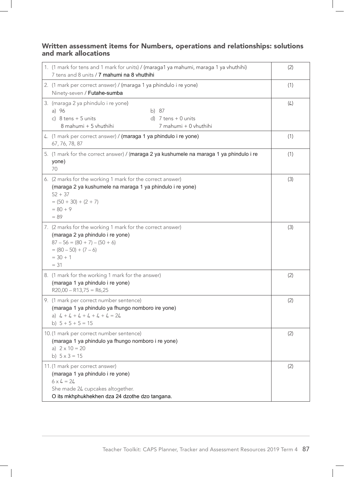## Written assessment items for Numbers, operations and relationships: solutions and mark allocations

| 1. (1 mark for tens and 1 mark for units) / (maraga1 ya mahumi, maraga 1 ya vhuthihi)<br>7 tens and 8 units / 7 mahumi na 8 vhuthihi                                                    | (2) |
|-----------------------------------------------------------------------------------------------------------------------------------------------------------------------------------------|-----|
| 2. (1 mark per correct answer) / (maraga 1 ya phindulo i re yone)<br>Ninety-seven / Futahe-sumba                                                                                        | (1) |
| 3. (maraga 2 ya phindulo i re yone)<br>a) 96<br>b) 87<br>c) $8$ tens + 5 units<br>d) $7$ tens $+$ 0 units<br>8 mahumi + 5 vhuthihi<br>7 mahumi + 0 vhuthihi                             | (L) |
| 4. (1 mark per correct answer) / (maraga 1 ya phindulo i re yone)<br>67, 76, 78, 87                                                                                                     | (1) |
| 5. (1 mark for the correct answer) / (maraga 2 ya kushumele na maraga 1 ya phindulo i re<br>yone)<br>70                                                                                 | (1) |
| 6. (2 marks for the working 1 mark for the correct answer)<br>(maraga 2 ya kushumele na maraga 1 ya phindulo i re yone)<br>$52 + 37$<br>$= (50 + 30) + (2 + 7)$<br>$= 80 + 9$<br>$= 89$ | (3) |
| 7. (2 marks for the working 1 mark for the correct answer)<br>(maraga 2 ya phindulo i re yone)<br>$87 - 56 = (80 + 7) - (50 + 6)$<br>$= (80 - 50) + (7 - 6)$<br>$= 30 + 1$<br>$= 31$    | (3) |
| 8. (1 mark for the working 1 mark for the answer)<br>(maraga 1 ya phindulo i re yone)<br>$R20,00 - R13,75 = R6,25$                                                                      | (2) |
| 9. (1 mark per correct number sentence)<br>(maraga 1 ya phindulo ya fhungo nomboro ire yone)<br>a) $4 + 4 + 4 + 4 + 4 + 4 = 24$<br>b) $5 + 5 + 5 = 15$                                  | (2) |
| 10. (1 mark per correct number sentence)<br>(maraga 1 ya phindulo ya fhungo nomboro i re yone)<br>a) $2 \times 10 = 20$<br>b) $5 \times 3 = 15$                                         | (2) |
| 11.(1 mark per correct answer)<br>(maraga 1 ya phindulo i re yone)<br>$6 \times 4 = 24$<br>She made 24 cupcakes altogether.<br>O its mkhphukhekhen dza 24 dzothe dzo tangana.           | (2) |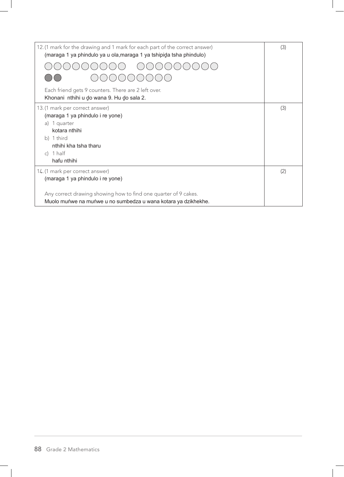| 12. (1 mark for the drawing and 1 mark for each part of the correct answer)<br>(maraga 1 ya phindulo ya u ola, maraga 1 ya tshipida tsha phindulo) | (3) |
|----------------------------------------------------------------------------------------------------------------------------------------------------|-----|
|                                                                                                                                                    |     |
|                                                                                                                                                    |     |
| Each friend gets 9 counters. There are 2 left over.<br>Khonani nthihi u do wana 9. Hu do sala 2.                                                   |     |
| 13. (1 mark per correct answer)                                                                                                                    | (3) |
| (maraga 1 ya phindulo i re yone)                                                                                                                   |     |
| a) 1 quarter                                                                                                                                       |     |
| kotara nthihi                                                                                                                                      |     |
| b) 1 third                                                                                                                                         |     |
| nthihi kha tsha tharu                                                                                                                              |     |
| c) $1$ half                                                                                                                                        |     |
| hafu nthihi                                                                                                                                        |     |
| 14. (1 mark per correct answer)                                                                                                                    | (2) |
| (maraga 1 ya phindulo i re yone)                                                                                                                   |     |
|                                                                                                                                                    |     |
| Any correct drawing showing how to find one quarter of 9 cakes.                                                                                    |     |
| Muolo muńwe na muńwe u no sumbedza u wana kotara ya dzikhekhe.                                                                                     |     |